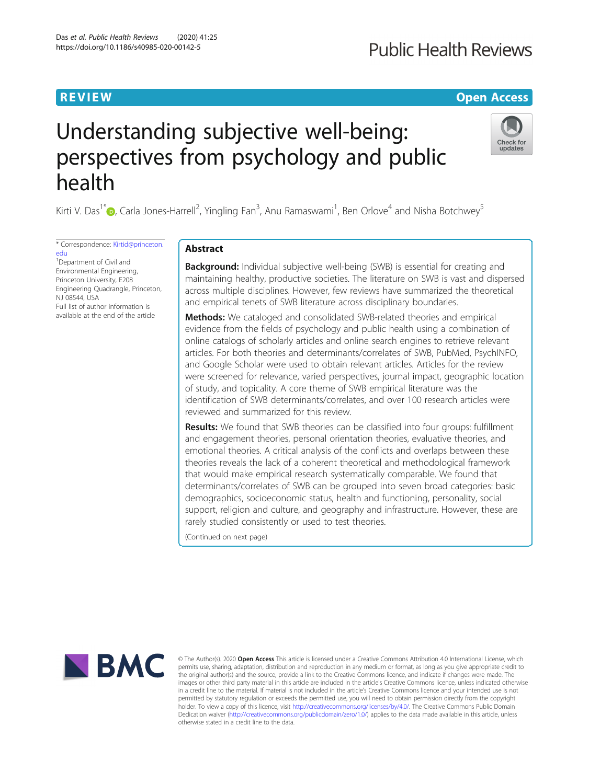# **Public Health Reviews**

# **REVIEW CONTROL** CONTROL CONTROL CONTROL CONTROL CONTROL CONTROL CONTROL CONTROL CONTROL CONTROL CONTROL CONTROL CONTROL CONTROL CONTROL CONTROL CONTROL CONTROL CONTROL CONTROL CONTROL CONTROL CONTROL CONTROL CONTROL CONTR

# Understanding subjective well-being: perspectives from psychology and public health



Kirti V. Das<sup>1\*</sup>®, Carla Jones-Harrell<sup>2</sup>, Yingling Fan<sup>3</sup>, Anu Ramaswami<sup>1</sup>, Ben Orlove<sup>4</sup> and Nisha Botchwey<sup>5</sup>

\* Correspondence: [Kirtid@princeton.](mailto:Kirtid@princeton.edu) [edu](mailto:Kirtid@princeton.edu)

<sup>1</sup>Department of Civil and Environmental Engineering, Princeton University, E208 Engineering Quadrangle, Princeton, NJ 08544, USA Full list of author information is available at the end of the article

# Abstract

**Background:** Individual subjective well-being (SWB) is essential for creating and maintaining healthy, productive societies. The literature on SWB is vast and dispersed across multiple disciplines. However, few reviews have summarized the theoretical and empirical tenets of SWB literature across disciplinary boundaries.

Methods: We cataloged and consolidated SWB-related theories and empirical evidence from the fields of psychology and public health using a combination of online catalogs of scholarly articles and online search engines to retrieve relevant articles. For both theories and determinants/correlates of SWB, PubMed, PsychINFO, and Google Scholar were used to obtain relevant articles. Articles for the review were screened for relevance, varied perspectives, journal impact, geographic location of study, and topicality. A core theme of SWB empirical literature was the identification of SWB determinants/correlates, and over 100 research articles were reviewed and summarized for this review.

Results: We found that SWB theories can be classified into four groups: fulfillment and engagement theories, personal orientation theories, evaluative theories, and emotional theories. A critical analysis of the conflicts and overlaps between these theories reveals the lack of a coherent theoretical and methodological framework that would make empirical research systematically comparable. We found that determinants/correlates of SWB can be grouped into seven broad categories: basic demographics, socioeconomic status, health and functioning, personality, social support, religion and culture, and geography and infrastructure. However, these are rarely studied consistently or used to test theories.

(Continued on next page)



© The Author(s). 2020 Open Access This article is licensed under a Creative Commons Attribution 4.0 International License, which permits use, sharing, adaptation, distribution and reproduction in any medium or format, as long as you give appropriate credit to the original author(s) and the source, provide a link to the Creative Commons licence, and indicate if changes were made. The images or other third party material in this article are included in the article's Creative Commons licence, unless indicated otherwise in a credit line to the material. If material is not included in the article's Creative Commons licence and your intended use is not permitted by statutory regulation or exceeds the permitted use, you will need to obtain permission directly from the copyright<br>holder. To view a copy of this licence, visit [http://creativecommons.org/licenses/by/4.0/.](http://creativecommons.org/licenses/by/4.0/) The Dedication waiver [\(http://creativecommons.org/publicdomain/zero/1.0/](http://creativecommons.org/publicdomain/zero/1.0/)) applies to the data made available in this article, unless otherwise stated in a credit line to the data.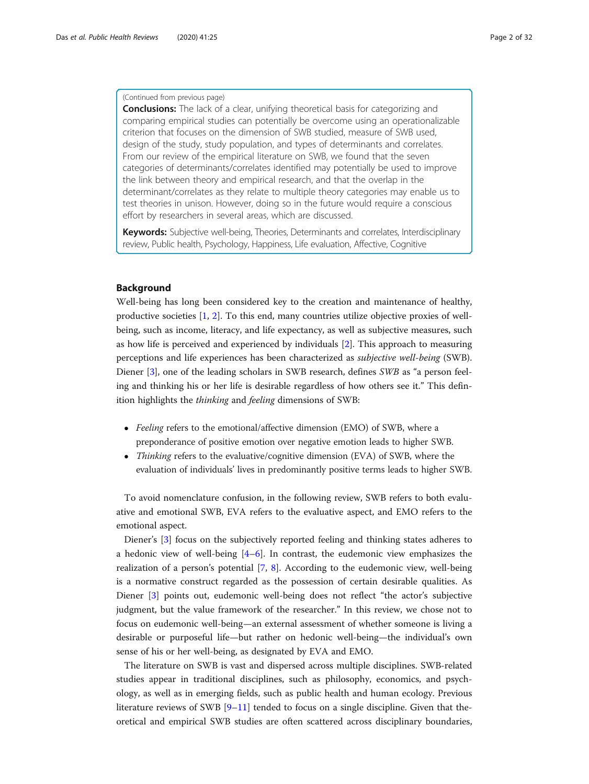# (Continued from previous page)

**Conclusions:** The lack of a clear, unifying theoretical basis for categorizing and comparing empirical studies can potentially be overcome using an operationalizable criterion that focuses on the dimension of SWB studied, measure of SWB used, design of the study, study population, and types of determinants and correlates. From our review of the empirical literature on SWB, we found that the seven categories of determinants/correlates identified may potentially be used to improve the link between theory and empirical research, and that the overlap in the determinant/correlates as they relate to multiple theory categories may enable us to test theories in unison. However, doing so in the future would require a conscious effort by researchers in several areas, which are discussed.

Keywords: Subjective well-being, Theories, Determinants and correlates, Interdisciplinary review, Public health, Psychology, Happiness, Life evaluation, Affective, Cognitive

# Background

Well-being has long been considered key to the creation and maintenance of healthy, productive societies [[1,](#page-26-0) [2\]](#page-26-0). To this end, many countries utilize objective proxies of wellbeing, such as income, literacy, and life expectancy, as well as subjective measures, such as how life is perceived and experienced by individuals [[2](#page-26-0)]. This approach to measuring perceptions and life experiences has been characterized as subjective well-being (SWB). Diener [\[3](#page-27-0)], one of the leading scholars in SWB research, defines SWB as "a person feeling and thinking his or her life is desirable regardless of how others see it." This definition highlights the thinking and feeling dimensions of SWB:

- Feeling refers to the emotional/affective dimension (EMO) of SWB, where a preponderance of positive emotion over negative emotion leads to higher SWB.
- Thinking refers to the evaluative/cognitive dimension (EVA) of SWB, where the evaluation of individuals' lives in predominantly positive terms leads to higher SWB.

To avoid nomenclature confusion, in the following review, SWB refers to both evaluative and emotional SWB, EVA refers to the evaluative aspect, and EMO refers to the emotional aspect.

Diener's [[3\]](#page-27-0) focus on the subjectively reported feeling and thinking states adheres to a hedonic view of well-being  $[4-6]$  $[4-6]$  $[4-6]$  $[4-6]$ . In contrast, the eudemonic view emphasizes the realization of a person's potential [\[7](#page-27-0), [8](#page-27-0)]. According to the eudemonic view, well-being is a normative construct regarded as the possession of certain desirable qualities. As Diener [\[3](#page-27-0)] points out, eudemonic well-being does not reflect "the actor's subjective judgment, but the value framework of the researcher." In this review, we chose not to focus on eudemonic well-being—an external assessment of whether someone is living a desirable or purposeful life—but rather on hedonic well-being—the individual's own sense of his or her well-being, as designated by EVA and EMO.

The literature on SWB is vast and dispersed across multiple disciplines. SWB-related studies appear in traditional disciplines, such as philosophy, economics, and psychology, as well as in emerging fields, such as public health and human ecology. Previous literature reviews of SWB [\[9](#page-27-0)–[11](#page-27-0)] tended to focus on a single discipline. Given that theoretical and empirical SWB studies are often scattered across disciplinary boundaries,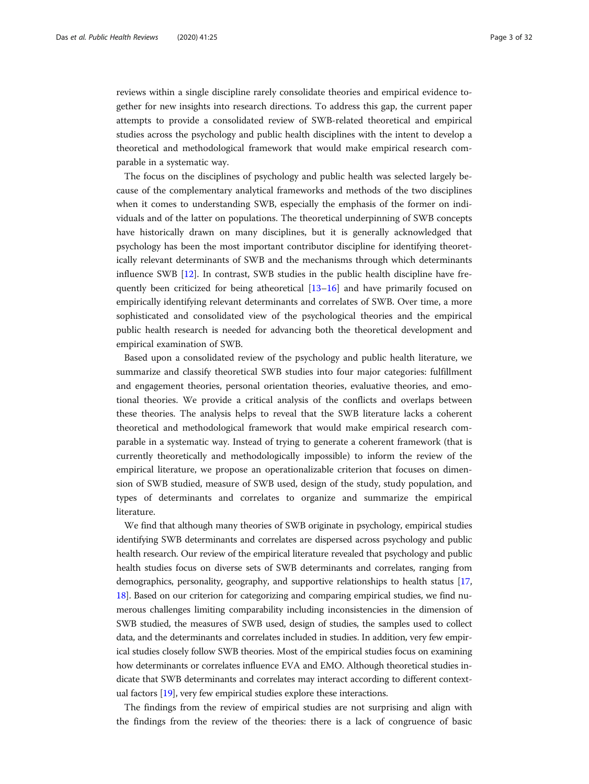reviews within a single discipline rarely consolidate theories and empirical evidence together for new insights into research directions. To address this gap, the current paper attempts to provide a consolidated review of SWB-related theoretical and empirical studies across the psychology and public health disciplines with the intent to develop a theoretical and methodological framework that would make empirical research comparable in a systematic way.

The focus on the disciplines of psychology and public health was selected largely because of the complementary analytical frameworks and methods of the two disciplines when it comes to understanding SWB, especially the emphasis of the former on individuals and of the latter on populations. The theoretical underpinning of SWB concepts have historically drawn on many disciplines, but it is generally acknowledged that psychology has been the most important contributor discipline for identifying theoretically relevant determinants of SWB and the mechanisms through which determinants influence SWB [\[12](#page-27-0)]. In contrast, SWB studies in the public health discipline have frequently been criticized for being atheoretical [[13](#page-27-0)–[16\]](#page-27-0) and have primarily focused on empirically identifying relevant determinants and correlates of SWB. Over time, a more sophisticated and consolidated view of the psychological theories and the empirical public health research is needed for advancing both the theoretical development and empirical examination of SWB.

Based upon a consolidated review of the psychology and public health literature, we summarize and classify theoretical SWB studies into four major categories: fulfillment and engagement theories, personal orientation theories, evaluative theories, and emotional theories. We provide a critical analysis of the conflicts and overlaps between these theories. The analysis helps to reveal that the SWB literature lacks a coherent theoretical and methodological framework that would make empirical research comparable in a systematic way. Instead of trying to generate a coherent framework (that is currently theoretically and methodologically impossible) to inform the review of the empirical literature, we propose an operationalizable criterion that focuses on dimension of SWB studied, measure of SWB used, design of the study, study population, and types of determinants and correlates to organize and summarize the empirical literature.

We find that although many theories of SWB originate in psychology, empirical studies identifying SWB determinants and correlates are dispersed across psychology and public health research. Our review of the empirical literature revealed that psychology and public health studies focus on diverse sets of SWB determinants and correlates, ranging from demographics, personality, geography, and supportive relationships to health status [[17](#page-27-0), [18](#page-27-0)]. Based on our criterion for categorizing and comparing empirical studies, we find numerous challenges limiting comparability including inconsistencies in the dimension of SWB studied, the measures of SWB used, design of studies, the samples used to collect data, and the determinants and correlates included in studies. In addition, very few empirical studies closely follow SWB theories. Most of the empirical studies focus on examining how determinants or correlates influence EVA and EMO. Although theoretical studies indicate that SWB determinants and correlates may interact according to different contextual factors [[19](#page-27-0)], very few empirical studies explore these interactions.

The findings from the review of empirical studies are not surprising and align with the findings from the review of the theories: there is a lack of congruence of basic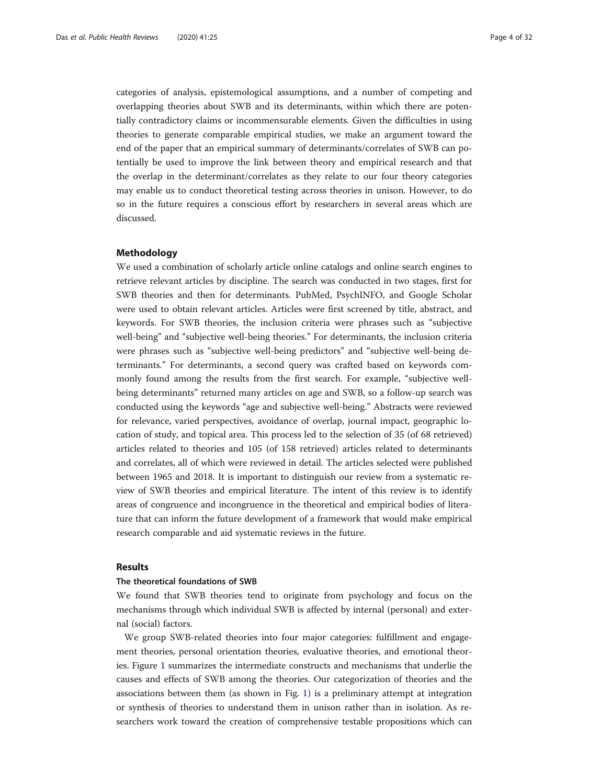categories of analysis, epistemological assumptions, and a number of competing and overlapping theories about SWB and its determinants, within which there are potentially contradictory claims or incommensurable elements. Given the difficulties in using theories to generate comparable empirical studies, we make an argument toward the end of the paper that an empirical summary of determinants/correlates of SWB can potentially be used to improve the link between theory and empirical research and that the overlap in the determinant/correlates as they relate to our four theory categories may enable us to conduct theoretical testing across theories in unison. However, to do so in the future requires a conscious effort by researchers in several areas which are discussed.

#### Methodology

We used a combination of scholarly article online catalogs and online search engines to retrieve relevant articles by discipline. The search was conducted in two stages, first for SWB theories and then for determinants. PubMed, PsychINFO, and Google Scholar were used to obtain relevant articles. Articles were first screened by title, abstract, and keywords. For SWB theories, the inclusion criteria were phrases such as "subjective well-being" and "subjective well-being theories." For determinants, the inclusion criteria were phrases such as "subjective well-being predictors" and "subjective well-being determinants." For determinants, a second query was crafted based on keywords commonly found among the results from the first search. For example, "subjective wellbeing determinants" returned many articles on age and SWB, so a follow-up search was conducted using the keywords "age and subjective well-being." Abstracts were reviewed for relevance, varied perspectives, avoidance of overlap, journal impact, geographic location of study, and topical area. This process led to the selection of 35 (of 68 retrieved) articles related to theories and 105 (of 158 retrieved) articles related to determinants and correlates, all of which were reviewed in detail. The articles selected were published between 1965 and 2018. It is important to distinguish our review from a systematic review of SWB theories and empirical literature. The intent of this review is to identify areas of congruence and incongruence in the theoretical and empirical bodies of literature that can inform the future development of a framework that would make empirical research comparable and aid systematic reviews in the future.

# Results

#### The theoretical foundations of SWB

We found that SWB theories tend to originate from psychology and focus on the mechanisms through which individual SWB is affected by internal (personal) and external (social) factors.

We group SWB-related theories into four major categories: fulfillment and engagement theories, personal orientation theories, evaluative theories, and emotional theories. Figure [1](#page-4-0) summarizes the intermediate constructs and mechanisms that underlie the causes and effects of SWB among the theories. Our categorization of theories and the associations between them (as shown in Fig.  $1$ ) is a preliminary attempt at integration or synthesis of theories to understand them in unison rather than in isolation. As researchers work toward the creation of comprehensive testable propositions which can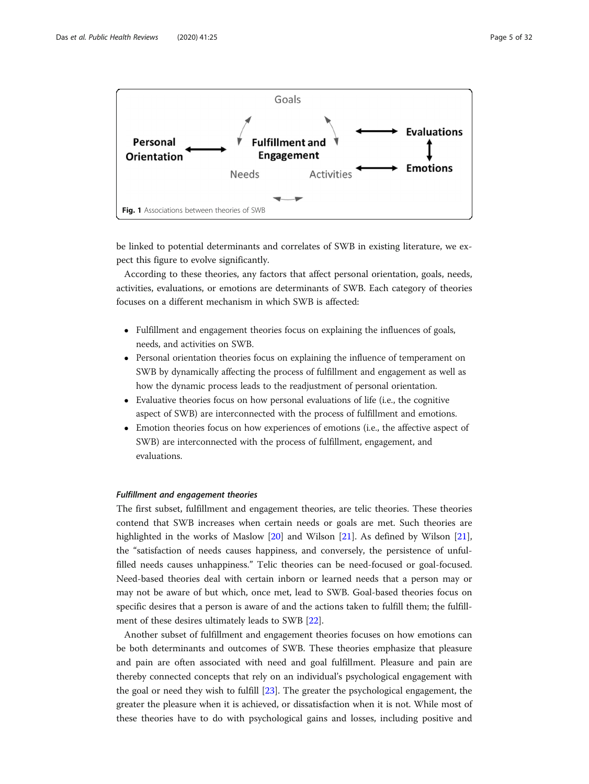<span id="page-4-0"></span>

be linked to potential determinants and correlates of SWB in existing literature, we expect this figure to evolve significantly.

According to these theories, any factors that affect personal orientation, goals, needs, activities, evaluations, or emotions are determinants of SWB. Each category of theories focuses on a different mechanism in which SWB is affected:

- Fulfillment and engagement theories focus on explaining the influences of goals, needs, and activities on SWB.
- Personal orientation theories focus on explaining the influence of temperament on SWB by dynamically affecting the process of fulfillment and engagement as well as how the dynamic process leads to the readjustment of personal orientation.
- Evaluative theories focus on how personal evaluations of life (i.e., the cognitive aspect of SWB) are interconnected with the process of fulfillment and emotions.
- Emotion theories focus on how experiences of emotions (i.e., the affective aspect of SWB) are interconnected with the process of fulfillment, engagement, and evaluations.

# Fulfillment and engagement theories

The first subset, fulfillment and engagement theories, are telic theories. These theories contend that SWB increases when certain needs or goals are met. Such theories are highlighted in the works of Maslow [\[20\]](#page-27-0) and Wilson [[21\]](#page-27-0). As defined by Wilson [[21](#page-27-0)], the "satisfaction of needs causes happiness, and conversely, the persistence of unfulfilled needs causes unhappiness." Telic theories can be need-focused or goal-focused. Need-based theories deal with certain inborn or learned needs that a person may or may not be aware of but which, once met, lead to SWB. Goal-based theories focus on specific desires that a person is aware of and the actions taken to fulfill them; the fulfillment of these desires ultimately leads to SWB [\[22](#page-27-0)].

Another subset of fulfillment and engagement theories focuses on how emotions can be both determinants and outcomes of SWB. These theories emphasize that pleasure and pain are often associated with need and goal fulfillment. Pleasure and pain are thereby connected concepts that rely on an individual's psychological engagement with the goal or need they wish to fulfill [\[23\]](#page-27-0). The greater the psychological engagement, the greater the pleasure when it is achieved, or dissatisfaction when it is not. While most of these theories have to do with psychological gains and losses, including positive and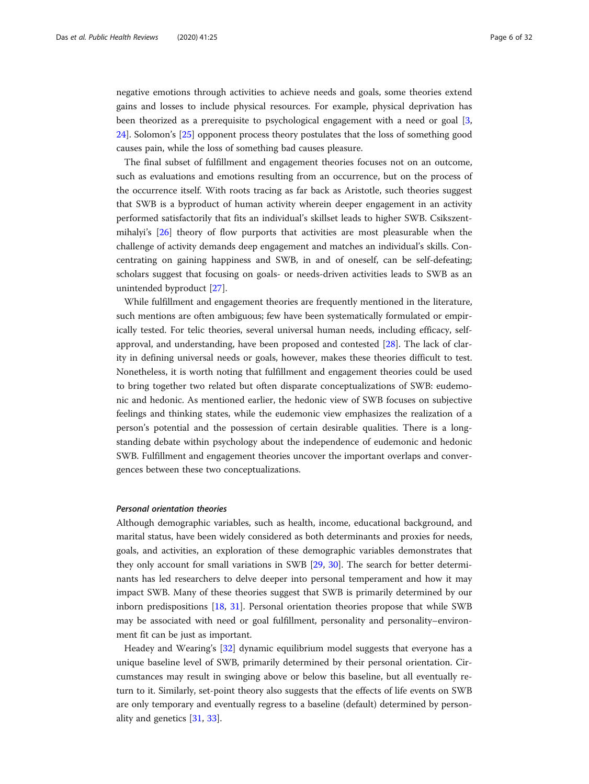negative emotions through activities to achieve needs and goals, some theories extend gains and losses to include physical resources. For example, physical deprivation has been theorized as a prerequisite to psychological engagement with a need or goal [[3](#page-27-0), [24](#page-27-0)]. Solomon's [\[25\]](#page-27-0) opponent process theory postulates that the loss of something good causes pain, while the loss of something bad causes pleasure.

The final subset of fulfillment and engagement theories focuses not on an outcome, such as evaluations and emotions resulting from an occurrence, but on the process of the occurrence itself. With roots tracing as far back as Aristotle, such theories suggest that SWB is a byproduct of human activity wherein deeper engagement in an activity performed satisfactorily that fits an individual's skillset leads to higher SWB. Csikszentmihalyi's [\[26](#page-27-0)] theory of flow purports that activities are most pleasurable when the challenge of activity demands deep engagement and matches an individual's skills. Concentrating on gaining happiness and SWB, in and of oneself, can be self-defeating; scholars suggest that focusing on goals- or needs-driven activities leads to SWB as an unintended byproduct [[27\]](#page-27-0).

While fulfillment and engagement theories are frequently mentioned in the literature, such mentions are often ambiguous; few have been systematically formulated or empirically tested. For telic theories, several universal human needs, including efficacy, selfapproval, and understanding, have been proposed and contested [\[28\]](#page-27-0). The lack of clarity in defining universal needs or goals, however, makes these theories difficult to test. Nonetheless, it is worth noting that fulfillment and engagement theories could be used to bring together two related but often disparate conceptualizations of SWB: eudemonic and hedonic. As mentioned earlier, the hedonic view of SWB focuses on subjective feelings and thinking states, while the eudemonic view emphasizes the realization of a person's potential and the possession of certain desirable qualities. There is a longstanding debate within psychology about the independence of eudemonic and hedonic SWB. Fulfillment and engagement theories uncover the important overlaps and convergences between these two conceptualizations.

### Personal orientation theories

Although demographic variables, such as health, income, educational background, and marital status, have been widely considered as both determinants and proxies for needs, goals, and activities, an exploration of these demographic variables demonstrates that they only account for small variations in SWB [[29,](#page-27-0) [30](#page-27-0)]. The search for better determinants has led researchers to delve deeper into personal temperament and how it may impact SWB. Many of these theories suggest that SWB is primarily determined by our inborn predispositions [\[18,](#page-27-0) [31\]](#page-27-0). Personal orientation theories propose that while SWB may be associated with need or goal fulfillment, personality and personality–environment fit can be just as important.

Headey and Wearing's [\[32](#page-27-0)] dynamic equilibrium model suggests that everyone has a unique baseline level of SWB, primarily determined by their personal orientation. Circumstances may result in swinging above or below this baseline, but all eventually return to it. Similarly, set-point theory also suggests that the effects of life events on SWB are only temporary and eventually regress to a baseline (default) determined by personality and genetics [[31](#page-27-0), [33](#page-27-0)].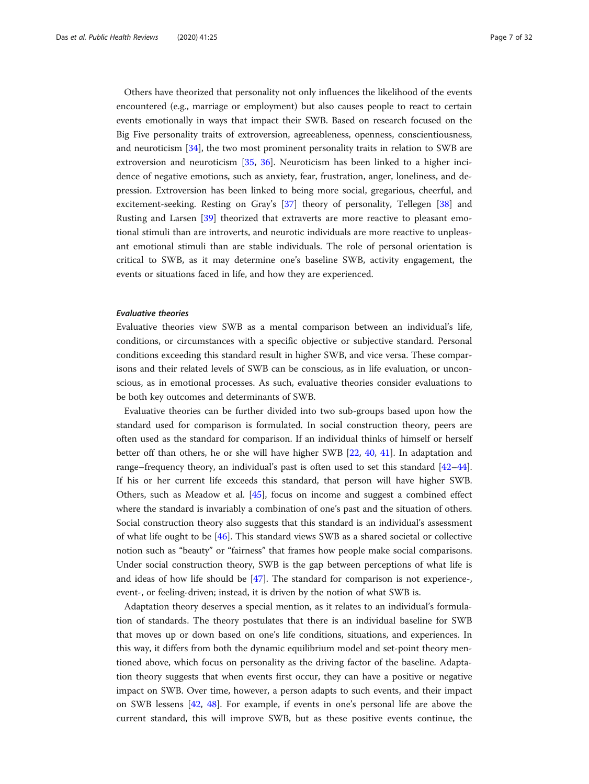Others have theorized that personality not only influences the likelihood of the events encountered (e.g., marriage or employment) but also causes people to react to certain events emotionally in ways that impact their SWB. Based on research focused on the Big Five personality traits of extroversion, agreeableness, openness, conscientiousness, and neuroticism [[34](#page-27-0)], the two most prominent personality traits in relation to SWB are extroversion and neuroticism [\[35](#page-27-0), [36](#page-27-0)]. Neuroticism has been linked to a higher incidence of negative emotions, such as anxiety, fear, frustration, anger, loneliness, and depression. Extroversion has been linked to being more social, gregarious, cheerful, and excitement-seeking. Resting on Gray's [[37](#page-27-0)] theory of personality, Tellegen [[38](#page-27-0)] and Rusting and Larsen [\[39\]](#page-27-0) theorized that extraverts are more reactive to pleasant emotional stimuli than are introverts, and neurotic individuals are more reactive to unpleasant emotional stimuli than are stable individuals. The role of personal orientation is critical to SWB, as it may determine one's baseline SWB, activity engagement, the events or situations faced in life, and how they are experienced.

#### Evaluative theories

Evaluative theories view SWB as a mental comparison between an individual's life, conditions, or circumstances with a specific objective or subjective standard. Personal conditions exceeding this standard result in higher SWB, and vice versa. These comparisons and their related levels of SWB can be conscious, as in life evaluation, or unconscious, as in emotional processes. As such, evaluative theories consider evaluations to be both key outcomes and determinants of SWB.

Evaluative theories can be further divided into two sub-groups based upon how the standard used for comparison is formulated. In social construction theory, peers are often used as the standard for comparison. If an individual thinks of himself or herself better off than others, he or she will have higher SWB [[22](#page-27-0), [40,](#page-27-0) [41\]](#page-27-0). In adaptation and range–frequency theory, an individual's past is often used to set this standard [[42](#page-27-0)–[44](#page-27-0)]. If his or her current life exceeds this standard, that person will have higher SWB. Others, such as Meadow et al. [[45\]](#page-27-0), focus on income and suggest a combined effect where the standard is invariably a combination of one's past and the situation of others. Social construction theory also suggests that this standard is an individual's assessment of what life ought to be [\[46\]](#page-27-0). This standard views SWB as a shared societal or collective notion such as "beauty" or "fairness" that frames how people make social comparisons. Under social construction theory, SWB is the gap between perceptions of what life is and ideas of how life should be [\[47](#page-27-0)]. The standard for comparison is not experience-, event-, or feeling-driven; instead, it is driven by the notion of what SWB is.

Adaptation theory deserves a special mention, as it relates to an individual's formulation of standards. The theory postulates that there is an individual baseline for SWB that moves up or down based on one's life conditions, situations, and experiences. In this way, it differs from both the dynamic equilibrium model and set-point theory mentioned above, which focus on personality as the driving factor of the baseline. Adaptation theory suggests that when events first occur, they can have a positive or negative impact on SWB. Over time, however, a person adapts to such events, and their impact on SWB lessens [\[42](#page-27-0), [48](#page-28-0)]. For example, if events in one's personal life are above the current standard, this will improve SWB, but as these positive events continue, the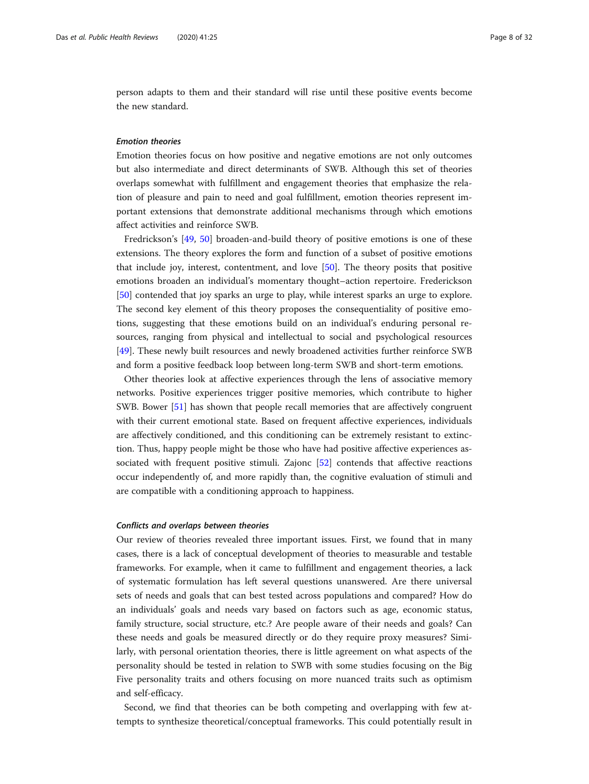person adapts to them and their standard will rise until these positive events become the new standard.

#### Emotion theories

Emotion theories focus on how positive and negative emotions are not only outcomes but also intermediate and direct determinants of SWB. Although this set of theories overlaps somewhat with fulfillment and engagement theories that emphasize the relation of pleasure and pain to need and goal fulfillment, emotion theories represent important extensions that demonstrate additional mechanisms through which emotions affect activities and reinforce SWB.

Fredrickson's [\[49](#page-28-0), [50\]](#page-28-0) broaden-and-build theory of positive emotions is one of these extensions. The theory explores the form and function of a subset of positive emotions that include joy, interest, contentment, and love [[50](#page-28-0)]. The theory posits that positive emotions broaden an individual's momentary thought–action repertoire. Frederickson [[50\]](#page-28-0) contended that joy sparks an urge to play, while interest sparks an urge to explore. The second key element of this theory proposes the consequentiality of positive emotions, suggesting that these emotions build on an individual's enduring personal resources, ranging from physical and intellectual to social and psychological resources [[49\]](#page-28-0). These newly built resources and newly broadened activities further reinforce SWB and form a positive feedback loop between long-term SWB and short-term emotions.

Other theories look at affective experiences through the lens of associative memory networks. Positive experiences trigger positive memories, which contribute to higher SWB. Bower [\[51\]](#page-28-0) has shown that people recall memories that are affectively congruent with their current emotional state. Based on frequent affective experiences, individuals are affectively conditioned, and this conditioning can be extremely resistant to extinction. Thus, happy people might be those who have had positive affective experiences associated with frequent positive stimuli. Zajonc [[52\]](#page-28-0) contends that affective reactions occur independently of, and more rapidly than, the cognitive evaluation of stimuli and are compatible with a conditioning approach to happiness.

#### Conflicts and overlaps between theories

Our review of theories revealed three important issues. First, we found that in many cases, there is a lack of conceptual development of theories to measurable and testable frameworks. For example, when it came to fulfillment and engagement theories, a lack of systematic formulation has left several questions unanswered. Are there universal sets of needs and goals that can best tested across populations and compared? How do an individuals' goals and needs vary based on factors such as age, economic status, family structure, social structure, etc.? Are people aware of their needs and goals? Can these needs and goals be measured directly or do they require proxy measures? Similarly, with personal orientation theories, there is little agreement on what aspects of the personality should be tested in relation to SWB with some studies focusing on the Big Five personality traits and others focusing on more nuanced traits such as optimism and self-efficacy.

Second, we find that theories can be both competing and overlapping with few attempts to synthesize theoretical/conceptual frameworks. This could potentially result in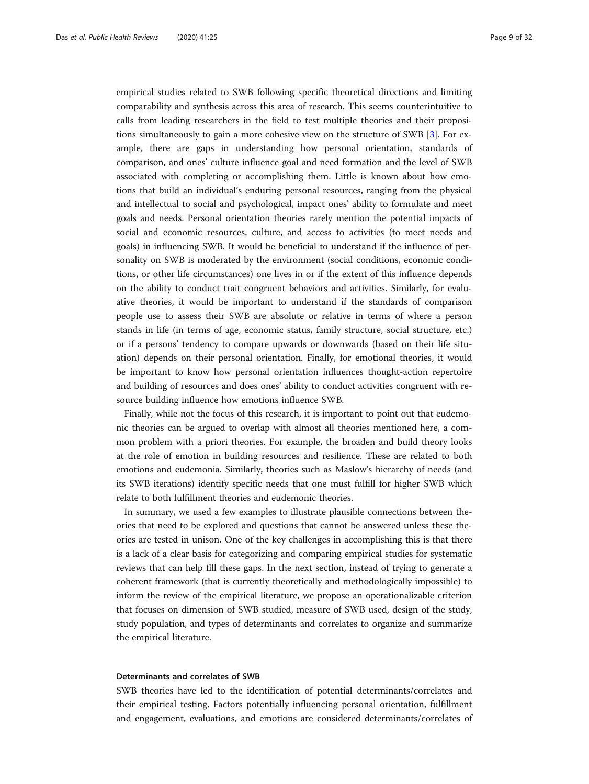empirical studies related to SWB following specific theoretical directions and limiting comparability and synthesis across this area of research. This seems counterintuitive to calls from leading researchers in the field to test multiple theories and their propositions simultaneously to gain a more cohesive view on the structure of SWB [[3](#page-27-0)]. For example, there are gaps in understanding how personal orientation, standards of comparison, and ones' culture influence goal and need formation and the level of SWB associated with completing or accomplishing them. Little is known about how emotions that build an individual's enduring personal resources, ranging from the physical and intellectual to social and psychological, impact ones' ability to formulate and meet goals and needs. Personal orientation theories rarely mention the potential impacts of social and economic resources, culture, and access to activities (to meet needs and goals) in influencing SWB. It would be beneficial to understand if the influence of personality on SWB is moderated by the environment (social conditions, economic conditions, or other life circumstances) one lives in or if the extent of this influence depends on the ability to conduct trait congruent behaviors and activities. Similarly, for evaluative theories, it would be important to understand if the standards of comparison people use to assess their SWB are absolute or relative in terms of where a person stands in life (in terms of age, economic status, family structure, social structure, etc.) or if a persons' tendency to compare upwards or downwards (based on their life situation) depends on their personal orientation. Finally, for emotional theories, it would be important to know how personal orientation influences thought-action repertoire and building of resources and does ones' ability to conduct activities congruent with resource building influence how emotions influence SWB.

Finally, while not the focus of this research, it is important to point out that eudemonic theories can be argued to overlap with almost all theories mentioned here, a common problem with a priori theories. For example, the broaden and build theory looks at the role of emotion in building resources and resilience. These are related to both emotions and eudemonia. Similarly, theories such as Maslow's hierarchy of needs (and its SWB iterations) identify specific needs that one must fulfill for higher SWB which relate to both fulfillment theories and eudemonic theories.

In summary, we used a few examples to illustrate plausible connections between theories that need to be explored and questions that cannot be answered unless these theories are tested in unison. One of the key challenges in accomplishing this is that there is a lack of a clear basis for categorizing and comparing empirical studies for systematic reviews that can help fill these gaps. In the next section, instead of trying to generate a coherent framework (that is currently theoretically and methodologically impossible) to inform the review of the empirical literature, we propose an operationalizable criterion that focuses on dimension of SWB studied, measure of SWB used, design of the study, study population, and types of determinants and correlates to organize and summarize the empirical literature.

### Determinants and correlates of SWB

SWB theories have led to the identification of potential determinants/correlates and their empirical testing. Factors potentially influencing personal orientation, fulfillment and engagement, evaluations, and emotions are considered determinants/correlates of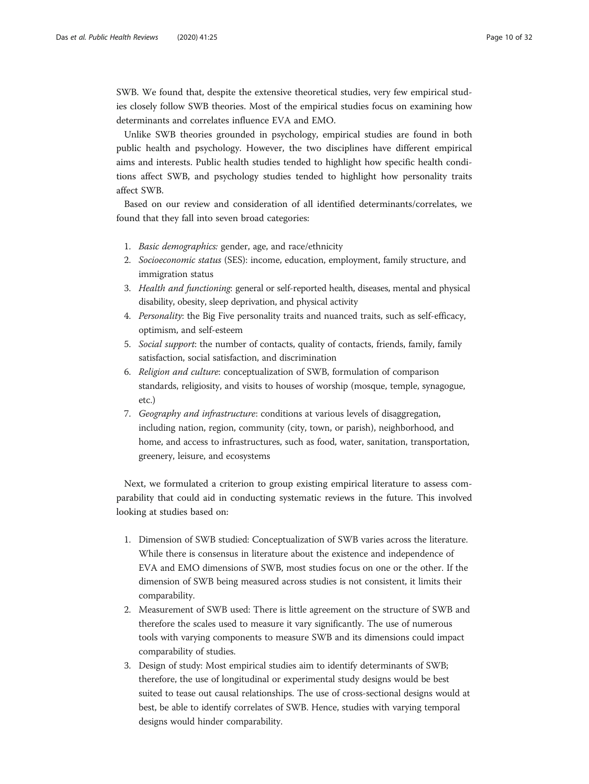SWB. We found that, despite the extensive theoretical studies, very few empirical studies closely follow SWB theories. Most of the empirical studies focus on examining how determinants and correlates influence EVA and EMO.

Unlike SWB theories grounded in psychology, empirical studies are found in both public health and psychology. However, the two disciplines have different empirical aims and interests. Public health studies tended to highlight how specific health conditions affect SWB, and psychology studies tended to highlight how personality traits affect SWB.

Based on our review and consideration of all identified determinants/correlates, we found that they fall into seven broad categories:

- 1. Basic demographics: gender, age, and race/ethnicity
- 2. Socioeconomic status (SES): income, education, employment, family structure, and immigration status
- 3. Health and functioning: general or self-reported health, diseases, mental and physical disability, obesity, sleep deprivation, and physical activity
- 4. Personality: the Big Five personality traits and nuanced traits, such as self-efficacy, optimism, and self-esteem
- 5. Social support: the number of contacts, quality of contacts, friends, family, family satisfaction, social satisfaction, and discrimination
- 6. Religion and culture: conceptualization of SWB, formulation of comparison standards, religiosity, and visits to houses of worship (mosque, temple, synagogue, etc.)
- 7. Geography and infrastructure: conditions at various levels of disaggregation, including nation, region, community (city, town, or parish), neighborhood, and home, and access to infrastructures, such as food, water, sanitation, transportation, greenery, leisure, and ecosystems

Next, we formulated a criterion to group existing empirical literature to assess comparability that could aid in conducting systematic reviews in the future. This involved looking at studies based on:

- 1. Dimension of SWB studied: Conceptualization of SWB varies across the literature. While there is consensus in literature about the existence and independence of EVA and EMO dimensions of SWB, most studies focus on one or the other. If the dimension of SWB being measured across studies is not consistent, it limits their comparability.
- 2. Measurement of SWB used: There is little agreement on the structure of SWB and therefore the scales used to measure it vary significantly. The use of numerous tools with varying components to measure SWB and its dimensions could impact comparability of studies.
- 3. Design of study: Most empirical studies aim to identify determinants of SWB; therefore, the use of longitudinal or experimental study designs would be best suited to tease out causal relationships. The use of cross-sectional designs would at best, be able to identify correlates of SWB. Hence, studies with varying temporal designs would hinder comparability.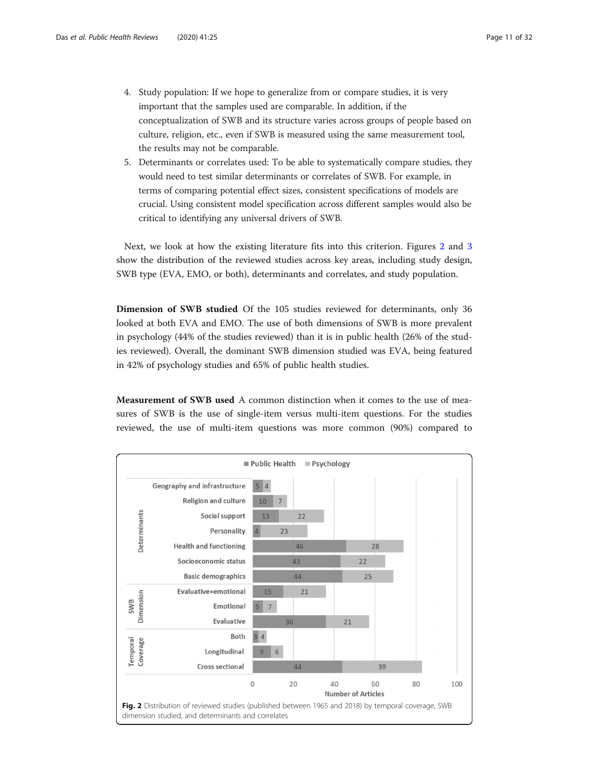- 4. Study population: If we hope to generalize from or compare studies, it is very important that the samples used are comparable. In addition, if the conceptualization of SWB and its structure varies across groups of people based on culture, religion, etc., even if SWB is measured using the same measurement tool, the results may not be comparable.
- 5. Determinants or correlates used: To be able to systematically compare studies, they would need to test similar determinants or correlates of SWB. For example, in terms of comparing potential effect sizes, consistent specifications of models are crucial. Using consistent model specification across different samples would also be critical to identifying any universal drivers of SWB.

Next, we look at how the existing literature fits into this criterion. Figures 2 and [3](#page-11-0) show the distribution of the reviewed studies across key areas, including study design, SWB type (EVA, EMO, or both), determinants and correlates, and study population.

Dimension of SWB studied Of the 105 studies reviewed for determinants, only 36 looked at both EVA and EMO. The use of both dimensions of SWB is more prevalent in psychology (44% of the studies reviewed) than it is in public health (26% of the studies reviewed). Overall, the dominant SWB dimension studied was EVA, being featured in 42% of psychology studies and 65% of public health studies.

Measurement of SWB used A common distinction when it comes to the use of measures of SWB is the use of single-item versus multi-item questions. For the studies reviewed, the use of multi-item questions was more common (90%) compared to

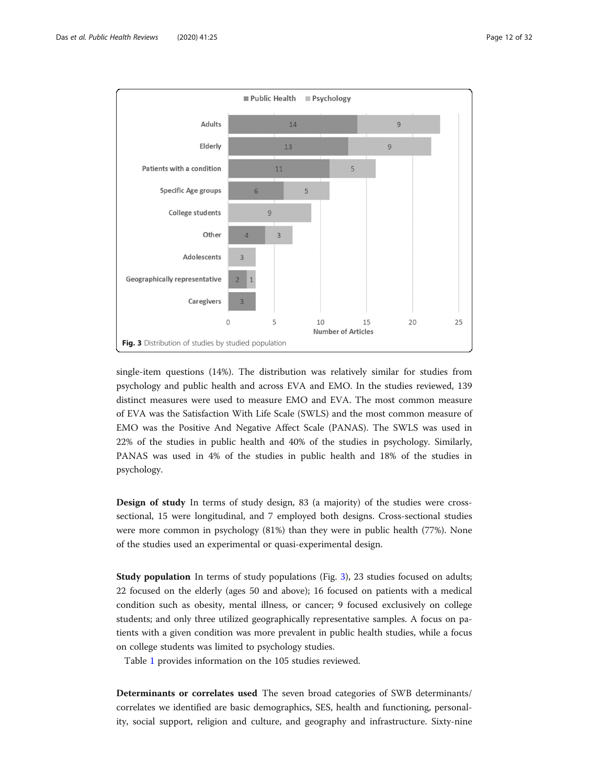<span id="page-11-0"></span>

single-item questions (14%). The distribution was relatively similar for studies from psychology and public health and across EVA and EMO. In the studies reviewed, 139 distinct measures were used to measure EMO and EVA. The most common measure of EVA was the Satisfaction With Life Scale (SWLS) and the most common measure of EMO was the Positive And Negative Affect Scale (PANAS). The SWLS was used in 22% of the studies in public health and 40% of the studies in psychology. Similarly, PANAS was used in 4% of the studies in public health and 18% of the studies in psychology.

Design of study In terms of study design, 83 (a majority) of the studies were crosssectional, 15 were longitudinal, and 7 employed both designs. Cross-sectional studies were more common in psychology (81%) than they were in public health (77%). None of the studies used an experimental or quasi-experimental design.

Study population In terms of study populations (Fig. 3), 23 studies focused on adults; 22 focused on the elderly (ages 50 and above); 16 focused on patients with a medical condition such as obesity, mental illness, or cancer; 9 focused exclusively on college students; and only three utilized geographically representative samples. A focus on patients with a given condition was more prevalent in public health studies, while a focus on college students was limited to psychology studies.

Table [1](#page-12-0) provides information on the 105 studies reviewed.

Determinants or correlates used The seven broad categories of SWB determinants/ correlates we identified are basic demographics, SES, health and functioning, personality, social support, religion and culture, and geography and infrastructure. Sixty-nine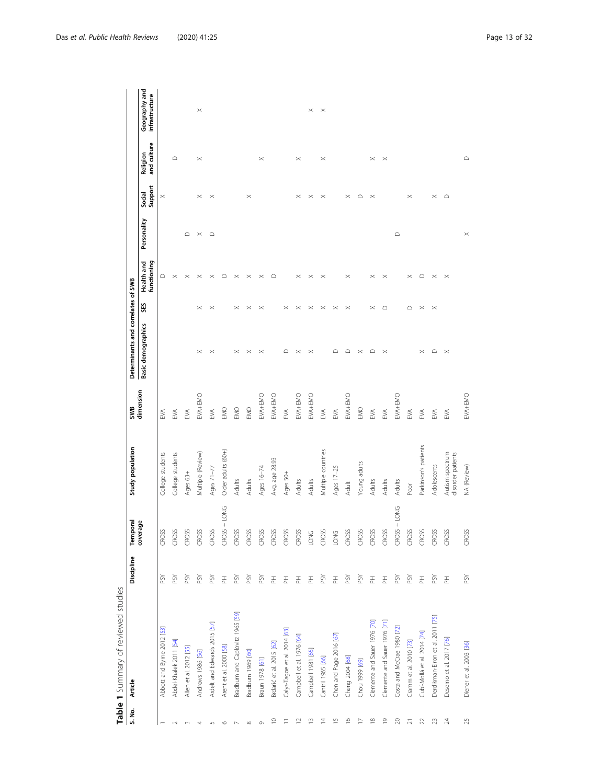<span id="page-12-0"></span>

|                    | Table 1 Summary of reviewed studies |                         |                      |                                      |                  |                                                          |            |                           |             |                   |                         |                                 |
|--------------------|-------------------------------------|-------------------------|----------------------|--------------------------------------|------------------|----------------------------------------------------------|------------|---------------------------|-------------|-------------------|-------------------------|---------------------------------|
| S. No.             | Article                             | Discipline              | Temporal<br>coverage | Study population                     | dimension<br>SWB | Determinants and correlates of SWB<br>Basic demographics | SES        | functioning<br>Health and | Personality | Support<br>Social | and culture<br>Religion | Geography and<br>infrastructure |
|                    | Abbott and Byrne 2012 [53]          | PSY                     | CROSS                | College students                     | ₹<br>E           |                                                          |            | $\supseteq$               |             | $\times$          |                         |                                 |
| $\sim$             | Abdel-Khalek 2011 [54]              | PSY                     | CROS:                | College students                     | EVA,             |                                                          |            | $\times$                  |             |                   | $\bigcirc$              |                                 |
| $\infty$           | Allen et al. 2012 [55]              | ΡSΥ                     | CROS:                | Ages 63+                             | EVA,             |                                                          |            | $\times$                  | $\supset$   |                   |                         |                                 |
| 4                  | Andrews 1986 [56]                   | PSY                     | CROS:                | Multiple (Review)                    | EVA+EMO          | $\times$                                                 | $\times$   | $\times$                  | $\times$    | $\times$          | $\! \times$             | $\! \times$                     |
| 5                  | Ardelt and Edwards 2015 [57]        | PSY                     | CROS:                | Ages 71-77                           | EM.              | $\times$                                                 | $\times$   | $\times$                  | $\supset$   | $\times$          |                         |                                 |
| $\circ$            | Arent et al. 2000 [58]              | 굳                       | $CROS + LONG$        | Older adults (60+)                   | EMO              |                                                          |            | ≏                         |             |                   |                         |                                 |
|                    | Bradburn and Caplovitz 1965 [59]    | PSY                     | CROSS                | Adults                               | EMO              | $\times$                                                 | $\times$   | $\times$                  |             |                   |                         |                                 |
| ${}^{\infty}$      | Bradburn 1969 [60]                  | PSY                     | CROS:                | <b>Adults</b>                        | EMO              | $\times$                                                 | $\times$   | $\times$                  |             | $\times$          |                         |                                 |
| $\circ$            | Braun 1978 [61]                     | PSY                     | CROS:                | Ages 16-74                           | EVA+EMO          | $\times$                                                 | $\times$   | $\times$                  |             |                   | $\times$                |                                 |
| ₽                  | Brdarić et al. 2015 [62]            | $\overline{\mathbb{E}}$ | CROS:                | Avg. age 28.93                       | EVA+EMC          |                                                          |            | △                         |             |                   |                         |                                 |
| Ξ                  | Calys-Tagoe et al. 2014 [63]        | $\overline{\mathbb{E}}$ | CROS:                | Ages 50+                             | EVA              | $\bigcirc$                                               | $\times$   |                           |             |                   |                         |                                 |
| $\mathbf{r}$       | Campbell et al. 1976 [64]           | 준                       | CROS:                | Adults                               | EVA+EMO          | $\times$                                                 | $\times$   | $\times$                  |             | $\times$          | $\times$                |                                 |
| ≘                  | Campbell 1981 [65]                  | $\overline{\mathbb{E}}$ | <b>PNC</b>           | Adults                               | EVA+EMO          | $\times$                                                 | $\times$   | $\times$                  |             | $\times$          |                         | $\times$                        |
| $\overline{4}$     | Cantril 1965 [66]                   | PSY                     | CROS:                | Multiple countries                   | EVA              |                                                          | $\times$   | $\times$                  |             | $\times$          | $\times$                | $\times$                        |
| $\frac{5}{1}$      | Chen and Page 2016 [67]             | $\overline{\mathbb{E}}$ | <b>PNC</b>           | Ages 17-25                           | S                | $\bigcirc$                                               | $\times$   |                           |             |                   |                         |                                 |
| $\frac{\infty}{2}$ | Cheng 2004 [68]                     | PSY                     | CROS:                | Adult                                | EVA+EMO          | $\supset$                                                | $\times$   | $\times$                  |             | $\times$          |                         |                                 |
| Þ                  | Chou 1999 [69]                      | ΡSΥ                     | CROS:                | Young adults                         | EMO              | $\times$                                                 |            |                           |             | $\bigcirc$        |                         |                                 |
| $\frac{8}{10}$     | Clemente and Sauer 1976 [70]        | $\overline{\mathbb{E}}$ | CROS:                | Adults                               | EVA              | $\supset$                                                | $\times$   | $\times$                  |             | $\times$          | $\times$                |                                 |
| $\overline{0}$     | Clemente and Sauer 1976 [71]        | $\frac{\pi}{\Delta}$    | CROS:                | Adults                               | €\A              | $\times$                                                 | $\bigcirc$ | $\times$                  |             |                   | $\times$                |                                 |
| $\gtrsim$          | Costa and McCrae 1980 [72]          | PSY                     | $CROS + LONG$        | Adults                               | EVA+EMO          |                                                          |            |                           | $\supset$   |                   |                         |                                 |
| $\overline{\sim}$  | Cramm et al. 2010 [73]              | PSY                     | S<br>CROS:           | Poor                                 | EVA,             |                                                          | $\supset$  | $\times$                  |             | $\times$          |                         |                                 |
| $\overline{2}$     | Cubí-Mollá et al. 2014 [74]         | $\overline{\mathbb{E}}$ | CROS:                | Parkinson's patients                 | EVA,             | $\times$                                                 | $\times$   | △                         |             |                   |                         |                                 |
| 23                 | Derdikman-Eiron et al. 2011 [75]    | PSY                     | CROS:                | Adolescents                          | EXA,             | $\supset$                                                | $\times$   | $\times$                  |             | $\times$          |                         |                                 |
| 24                 | Desemo et al. 2017 [76]             | $\overline{\mathbb{E}}$ | CROS:                | Autism spectrum<br>disorder patients | €\A              | $\times$                                                 |            | $\times$                  |             | $\bigcirc$        |                         |                                 |
| $25$               | Diener et al. 2003 [36]             | PSY                     | CROS:                | NA (Review)                          | EVA+EMO          |                                                          |            |                           | $\times$    |                   | $\bigcirc$              |                                 |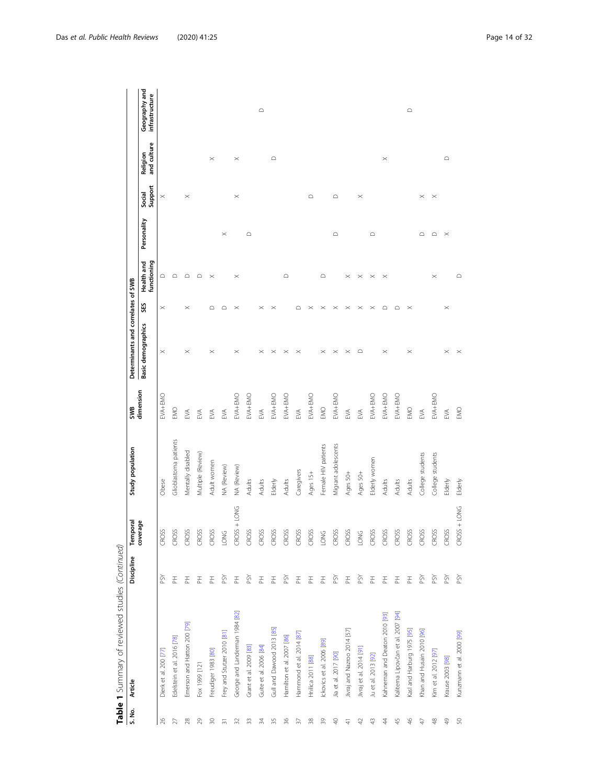| S. No.                                            | Table 1 Summary of reviewed studies (Continued)<br>Article | Discipline              | Temporal     | Study population      | SWB       | Determinants and correlates of SWB |            |                           |             |                   |                         |                                 |
|---------------------------------------------------|------------------------------------------------------------|-------------------------|--------------|-----------------------|-----------|------------------------------------|------------|---------------------------|-------------|-------------------|-------------------------|---------------------------------|
|                                                   |                                                            |                         | coverage     |                       | dimension | Basic demographics                 | SES        | functioning<br>Health and | Personality | Support<br>Social | and culture<br>Religion | Geography and<br>infrastructure |
| 26                                                | Dierk et al. 200 [77]                                      | PSY                     | CROSS        | Obese                 | EVA+EMO   | $\times$                           | $\times$   | $\supset$                 |             | $\times$          |                         |                                 |
| 27                                                | Edelstein et al. 2016 [78]                                 | 준                       | CROSS        | Glioblastoma patients | EMO       |                                    |            | $\bigcirc$                |             |                   |                         |                                 |
| 28                                                | Emerson and Hatton 200 [79]                                | 굳                       | CROSS        | Mentally disabled     | EVA,      | $\times$                           | $\times$   | $\bigcirc$                |             | $\times$          |                         |                                 |
| 50                                                | Fox 1999 [121                                              | 군                       | CROSS        | Multiple (Review)     | ₹.        |                                    |            | $\bigcirc$                |             |                   |                         |                                 |
| $\approx$                                         | Freudiger 1983 [80]                                        | 폰                       | CROSS        | Adult women           | EM.       | $\times$                           | $\bigcirc$ | $\times$                  |             |                   | $\times$                |                                 |
| $\widetilde{\widetilde{\phantom{m}}}\hspace{2mm}$ | Frey and Stutzer 2010 [81]                                 | PSY                     | LONG         | NA (Review)           | EVA,      |                                    | $\bigcirc$ |                           | $\times$    |                   |                         |                                 |
| 25                                                | George and Landerman 1984 [82]                             | $\overline{\Xi}$        | CROSS + LONG | NA (Review)           | EVA+EMO   | $\times$                           | $\times$   | $\times$                  |             | $\times$          | $\times$                |                                 |
| 33                                                | Grant et al. 2009 [83]                                     | PSY                     | CROSS        | <b>Adults</b>         | EVA+EMO   |                                    |            |                           | $\supset$   |                   |                         |                                 |
| 24                                                | Guite et al. 2006 [84]                                     | 굳                       | CROSS        | <b>Adults</b>         | EVA,      | $\times$                           | $\times$   |                           |             |                   |                         | $\supset$                       |
| 35                                                | Gull and Dawood 2013 [85]                                  | $\overline{\mathbb{E}}$ | CROSS        | Elderly               | EVA+EMO   | $\times$                           |            |                           |             |                   | $\supset$               |                                 |
| 96                                                | Hamilton et al. 2007 [86]                                  | PSY                     | CROSS        | Adults                | EVA+EMO   | $\times$                           |            | $\supset$                 |             |                   |                         |                                 |
| $\approx$                                         | Hammond et al. 2014 [87]                                   | 푼                       | CROSS        | Caregivers            | EXA,      | $\times$                           | △          |                           |             |                   |                         |                                 |
| 38                                                | Hnilica 2011 [88]                                          | 군                       | CROSS        | Ages 15+              | EVA+EMO   |                                    | $\times$   |                           |             | $\supset$         |                         |                                 |
| 39                                                | Ickovics et al. 2006 [89]                                  | 준                       | LONG         | Female HIV patients   | EMO       | $\times$                           | $\times$   | $\bigcirc$                |             |                   |                         |                                 |
| $\Theta$                                          | Jia et al. 2017 [90]                                       | PSY                     | CROSS        | Migrant adolescents   | EVA+EMO   | $\times$                           | $\times$   |                           | $\supset$   | $\bigcirc$        |                         |                                 |
| $\triangleq$                                      | Jivraj and Nazroo 2014 [57]                                | $\overline{\mathbb{E}}$ | CROSS        | Ages 50+              | Š         | $\times$                           | $\times$   | $\times$                  |             |                   |                         |                                 |
| 42                                                | Jivraj et al. 2014 [91]                                    | PSY                     | LONG         | Ages 50+              | EXA,      | $\bigcirc$                         | $\times$   | $\! \times$               |             | $\! \times$       |                         |                                 |
| $\frac{4}{3}$                                     | Ju et al. 2013 [92]                                        | 굳                       | CROSS        | Elderly women         | EVA+EMO   |                                    | $\times$   | $\times$                  | $\bigcirc$  |                   |                         |                                 |
| $\ddot{4}$                                        | Kahneman and Deaton 2010 [93]                              | 준                       | CROSS        | <b>Adults</b>         | EVA+EMO   | $\times$                           | $\bigcirc$ | $\times$                  |             |                   | $\times$                |                                 |
| 45                                                | Kaliterna Lipovčan et al. 2007 [94]                        | 푼                       | CROSS        | Adults                | EVA+EMO   |                                    | $\bigcirc$ |                           |             |                   |                         |                                 |
| $\frac{4}{6}$                                     | Kasl and Harburg 1975 [95]                                 | 굳                       | CROSS        | <b>Adults</b>         | EMO       | $\times$                           | $\times$   |                           |             |                   |                         | $\supset$                       |
| $\overline{4}$                                    | Khan and Husain 2010 [96]                                  | PSY                     | CROSS        | College students      | EXA,      |                                    |            |                           | $\bigcirc$  | $\times$          |                         |                                 |
| $\frac{8}{4}$                                     | Kim et al. 2012 [97]                                       | PSY                     | CROSS        | College students      | EVA+EMO   |                                    |            | $\times$                  | $\supset$   | $\times$          |                         |                                 |
| $\frac{4}{9}$                                     | Krause 2003 [98]                                           | PSY                     | CROSS        | Elderly               | €\A       | $\times$                           | $\times$   |                           | $\times$    |                   | $\bigcirc$              |                                 |
| SO                                                | Kunzmann et al. 2000 [99]                                  | PSY                     | CROSS + LONG | Elderly               | EMO       | $\times$                           |            | $\supset$                 |             |                   |                         |                                 |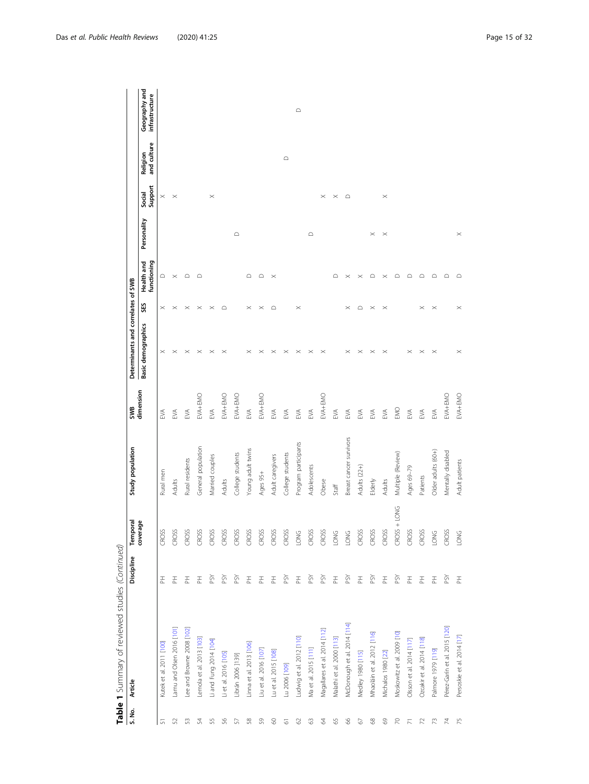|                  | Table 1 Summary of reviewed studies (Continued) |                         |                      |                         |                  |                                                          |            |                           |             |                   |                         |                                         |
|------------------|-------------------------------------------------|-------------------------|----------------------|-------------------------|------------------|----------------------------------------------------------|------------|---------------------------|-------------|-------------------|-------------------------|-----------------------------------------|
| S. No.           | Article                                         | Discipline              | Temporal<br>coverage | Study population        | dimension<br>SWB | Determinants and correlates of SWB<br>Basic demographics | SES        | functioning<br>Health and | Personality | Support<br>Social | and culture<br>Religion | Geography and<br>infrastructure         |
| ᆔ                | Kutek et al. 2011 [100]                         | 굳                       | CROSS                | Rural men               | ₹.               | $\times$                                                 | ×          | $\supseteq$               |             | $\times$          |                         |                                         |
| 52               | amu and Olsen 2016 [101]                        | 굳                       | CROSS                | Adults                  | EVA              | $\times$                                                 | $\times$   | $\times$                  |             | $\times$          |                         |                                         |
| S                | Lee and Browne 2008 [102]                       | 준                       | CROSS                | Rural residents         | EVA,             | $\times$                                                 | $\times$   | $\supset$                 |             |                   |                         |                                         |
| 24               | Lemola et al. 2013 [103]                        | $\overline{\mathbb{E}}$ | CROSS                | General population      | EVA+EMO          | $\times$                                                 | $\times$   | $\bigcirc$                |             |                   |                         |                                         |
| 55               | Li and Fung 2014 [104]                          | PSY                     | CROSS                | Married couples         | EVA              | $\times$                                                 | $\times$   |                           |             | $\times$          |                         |                                         |
| 56               | Li et al. 2016 [105]                            | ΡSΥ                     | CROSS                | Adults                  | EVA+EMO          | $\times$                                                 | ≏          |                           |             |                   |                         |                                         |
| 57               | Librán 2006 ]139]                               | PSY                     | CROSS                | College students        | EVA+EMC          |                                                          |            |                           | $\supset$   |                   |                         |                                         |
| $58$             | Linna et al. 2013 [106]                         | F                       | CROSS                | Young adult twins       | EM               | $\times$                                                 | $\times$   | $\supset$                 |             |                   |                         |                                         |
| 59               | Liu et al. 2016 [107]                           | F                       | CROSS                | Ages 95+                | EVA+EMO          | $\times$                                                 | $\times$   | ≏                         |             |                   |                         |                                         |
| $\odot$          | Lu et al. 2015 [108]                            | $\overline{\mathbb{E}}$ | CROSS                | Adult caregivers        | €⁄A              | $\times$                                                 | $\bigcirc$ | $\times$                  |             |                   |                         |                                         |
| 5                | Lu 2006 [109]                                   | PSY                     | CROSS                | College students        | EVA              | $\times$                                                 |            |                           |             |                   | $\supset$               |                                         |
| $\odot$          | Ludwig et al. 2012 [110]                        | 굳                       | <b>LONG</b>          | Program participants    | €\A              | $\times$                                                 | $\times$   |                           |             |                   |                         | $\hspace{0.2cm} \supset \hspace{0.2cm}$ |
| $\mathbb{S}$     | Ma et al. 2015 [111]                            | PSY                     | CROSS                | Adolescents             | EVA              | $\times$                                                 |            |                           | $\supset$   |                   |                         |                                         |
| 2                | Magallares et al. 2014 [112]                    | ΡSΥ                     | CROSS                | Obese                   | EVA+EMO          | $\times$                                                 |            |                           |             | $\times$          |                         |                                         |
| $65$             | Malathi et al. 2000 [113]                       | F                       | LONG                 | Staff                   | EVA,             |                                                          |            | $\bigcirc$                |             | $\times$          |                         |                                         |
| $\delta$         | McDonough et al. 2014 [114]                     | PSY                     | LONG                 | Breast cancer survivors | €\A              | $\times$                                                 | $\times$   | $\times$                  |             | $\supset$         |                         |                                         |
| $\odot$          | Medley 1980 [115]                               | $\frac{1}{\Delta}$      | CROSS                | Adults (22+)            | EVA              | $\times$                                                 | $\bigcirc$ |                           |             |                   |                         |                                         |
| $\rm ^{\otimes}$ | Mhaoláin et al. 2012 [116]                      | PSY                     | CROSS                | Elderly                 | €\A              | $\times$                                                 | $\times$   | ≏                         | $\times$    |                   |                         |                                         |
| $_{69}$          | Michalos 1980 [22]                              | $\overline{\mathbb{E}}$ | CROSS                | Adults                  | €\A              | $\times$                                                 | $\times$   | $\times$                  | $\times$    | $\! \times$       |                         |                                         |
| R                | Moskowitz et al. 2009 [10]                      | PSY                     | $+$ LONG<br>CROSS -  | Multiple (Review)       | EMO              |                                                          |            | ≏                         |             |                   |                         |                                         |
| 下                | Olsson et al. 2014 [117]                        | $\overline{\mathbb{E}}$ | <b>CROSS</b>         | Ages 69-79              | EVA,             | $\times$                                                 |            | $\supset$                 |             |                   |                         |                                         |
| 72               | Ozcakir et al. 2014 [118]                       | $\overline{\mathbb{E}}$ | CROSS                | Patients                | EVA              | $\times$                                                 | $\times$   | $\supset$                 |             |                   |                         |                                         |
| $73\,$           | Palmore 1979 [119]                              | 굳                       | <b>LONG</b>          | Older adults (60+)      | EVA,             | $\! \times$                                              | $\times$   | $\bigcirc$                |             |                   |                         |                                         |
|                  | Pérez-Garín et al. 2015 [120]                   | PSY                     | CROSS                | Mentally disabled       | EVA+EMO          |                                                          |            | $\circ$                   |             |                   |                         |                                         |
| 75               | Persoskie et al. 2014 [17]                      | $\frac{1}{\Delta}$      | <b>LONG</b>          | Adult patients          | EVA+EMO          | $\times$                                                 | $\times$   | $\supset$                 | $\times$    |                   |                         |                                         |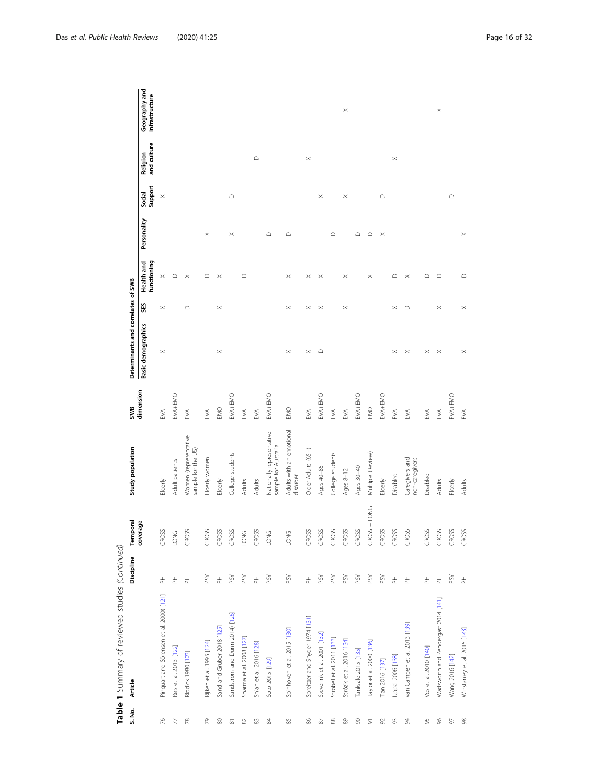|                    | Table 1 Summary of reviewed studies (Continued) |                         |                      |                                                   |                  |                                    |            |                           |             |                   |                         |                                 |
|--------------------|-------------------------------------------------|-------------------------|----------------------|---------------------------------------------------|------------------|------------------------------------|------------|---------------------------|-------------|-------------------|-------------------------|---------------------------------|
| S. No.             | Article                                         | Discipline              | Temporal<br>coverage | Study population                                  | dimension<br>SWB | Determinants and correlates of SWB |            |                           |             |                   |                         |                                 |
|                    |                                                 |                         |                      |                                                   |                  | Basic demographics                 | š          | functioning<br>Health and | Personality | Support<br>Social | and culture<br>Religion | Geography and<br>infrastructure |
| $\%$               | Pinquart and Sörensen et al. 2000) [121]        | 준                       | CROSS                | Elderly                                           | EVA              | $\times$                           | $\times$   | $\times$                  |             | $\times$          |                         |                                 |
| 77                 | Reis et al. 2013 [122]                          | 굳                       | LONG                 | Adult patients                                    | EVA+EMO          |                                    |            | $\bigcirc$                |             |                   |                         |                                 |
| 78                 | Riddick 1980 [123]                              | 굳                       | CROSS                | Women (representative<br>sample for the US)       | EVA,             |                                    | $\supset$  | $\times$                  |             |                   |                         |                                 |
| R,                 | Rijken et al. 1995 [124]                        | ΡSΥ                     | CROSS                | Elderly women                                     | EVA,             |                                    |            | $\bigcirc$                | $\times$    |                   |                         |                                 |
| $\otimes$          | Sand and Gruber 2018 [125]                      | $\overline{\mathbb{E}}$ | CROSS                | Elderly                                           | EMO              | $\times$                           | $\times$   | $\times$                  |             |                   |                         |                                 |
| 5                  | Sandstrom and Dunn 2014) [126]                  | PSY                     | CROSS                | College students                                  | EVA+EMO          |                                    |            |                           | $\times$    | $\supset$         |                         |                                 |
| $\approx$          | Sharma et al. 2008 [127]                        | PSY                     | LONG                 | Adults                                            | EVA,             |                                    |            | $\bigcirc$                |             |                   |                         |                                 |
| 83                 | Shiah et al. 2016 [128]                         | $\overline{\mathbb{E}}$ | CROSS                | Adults                                            | EVA              |                                    |            |                           |             |                   | $\supset$               |                                 |
| $\mathfrak{A}$     | Soto 2015 [129]                                 | PSY                     | <b>LONG</b>          | Nationally representative<br>sample for Australia | EVA+EMO          |                                    |            |                           | $\supset$   |                   |                         |                                 |
| $85$               | Spinhoven et al. 2015 [130]                     | PSY                     | <b>LONG</b>          | Adults with an emotional<br>disorder              | EMO              | $\times$                           | $\times$   | $\times$                  | $\bigcirc$  |                   |                         |                                 |
| 86                 | Spreitzer and Snyder 1974 [131]                 | 준                       | CROSS                | Older Adults (65+)                                | EVA              | $\times$                           | $\times$   | $\times$                  |             |                   | $\times$                |                                 |
| 2                  | Steverink et al. 2001 [132]                     | PSY                     | CROSS                | Ages 40-85                                        | EVA+EMO          | $\supset$                          | $\times$   | $\times$                  |             | $\times$          |                         |                                 |
| $88$               | Strobel et al. 2011 [133]                       | PSY                     | CROSS                | College students                                  | EVA,             |                                    |            |                           | $\bigcirc$  |                   |                         |                                 |
| 89                 | Strózik et al. 2016 [134]                       | ΡSΥ                     | CROSS                | Ages 8-12                                         | EVA              |                                    | $\times$   | $\times$                  |             | $\times$          |                         | $\times$                        |
| 8                  | Tanksale 2015 [135]                             | PSY                     | CROSS                | Ages 30-40                                        | EVA+EMO          |                                    |            |                           | $\bigcirc$  |                   |                         |                                 |
| $\overline{\circ}$ | Taylor et al. 2000 [136]                        | PSY                     | $+$ LONG<br>CROSS    | Multiple (Review)                                 | EMO              |                                    |            | $\times$                  | $\supset$   |                   |                         |                                 |
| 95                 | Tian 2016 [137]                                 | PSY                     | CROSS                | Elderly                                           | EVA+EMO          |                                    |            |                           | $\times$    | $\supset$         |                         |                                 |
| æ                  | Uppal 2006 [138]                                | 굳                       | CROSS                | Disabled                                          | EVA,             | $\times$                           | ×          | $\bigcirc$                |             |                   | $\times$                |                                 |
| R                  | van Campen et al. 2013 [139]                    | $\overline{\mathbb{E}}$ | CROSS                | Caregivers and<br>non-caregivers                  | EVA              | $\times$                           | $\bigcirc$ | $\times$                  |             |                   |                         |                                 |
| 95                 | Vos et al. 2010 [140]                           | 굳                       | CROSS                | Disabled                                          | S                | $\times$                           |            | $\bigcirc$                |             |                   |                         |                                 |
| X                  | Wadsworth and Pendergast 2014 [141]             | 폰                       | CROSS                | Adults                                            | EXA,             | $\times$                           | $\times$   | $\supset$                 |             |                   |                         | $\times$                        |
| $\Im$              | Wang 2016 [142]                                 | PSY                     | CROSS                | Elderly                                           | EVA+EMO          |                                    |            |                           |             | $\supset$         |                         |                                 |
| $\frac{8}{2}$      | Winstanley et al. 2015 [143]                    | $\frac{\pi}{\Delta}$    | CROSS                | Adults                                            | EXA,             | $\times$                           | $\times$   | $\bigcirc$                | $\times$    |                   |                         |                                 |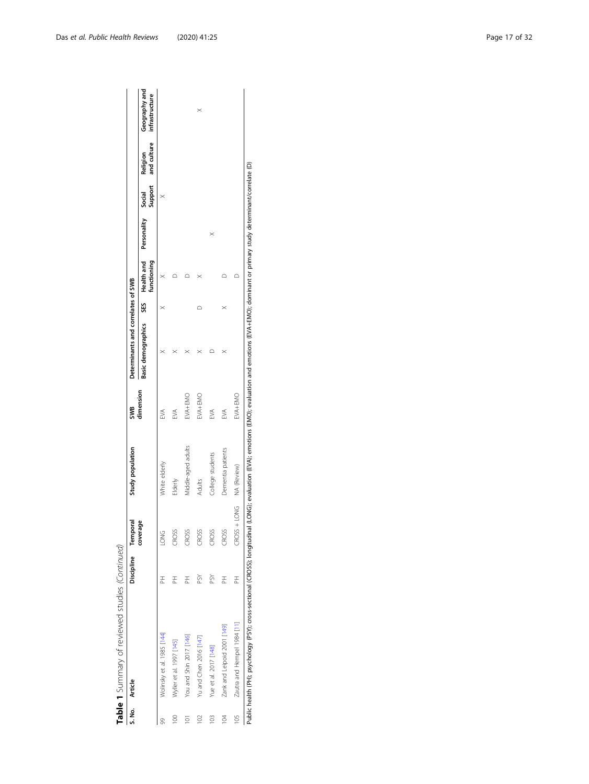|                | S. No. Article              | Discipline Tempo | πā                       | Study population   | SWB       | Determinants and correlates of SWB                   |             |          |                         |                                 |
|----------------|-----------------------------|------------------|--------------------------|--------------------|-----------|------------------------------------------------------|-------------|----------|-------------------------|---------------------------------|
|                |                             |                  | coverage                 |                    | dimension | Basic demographics SES Health and Personality Social | functioning | Support  | and culture<br>Religion | Geography and<br>infrastructure |
| 8              | Wolinsky et al. 1985 [144]  | 굴                | <b>DNG</b>               | White elderly      | Š         |                                                      |             | $\times$ |                         |                                 |
| $\approx$      | Wyller et al. 1997 [145]    | E                | CROSS                    | Elderly            | EVA,      |                                                      |             |          |                         |                                 |
| $\overline{a}$ | You and Shin 2017 [146]     | 굳                | CROSS                    | Middle-aged adults | EVA+EMO   |                                                      |             |          |                         |                                 |
| $\approx$      | Yu and Chen 2016 [147]      | ΡSΥ              | CROSS                    | <b>Adults</b>      | EVA+EMO   |                                                      | $\times$    |          |                         | $\times$                        |
| $\approx$      | Yue et al. 2017 [148]       | ΡSΥ              | CROSS                    | College students   | EVA,      |                                                      |             |          |                         |                                 |
| $\overline{5}$ | Zank and Leipoid 2001 [149] | 굳                | CROSS                    | Dementia patients  | EVA,      | $\times$                                             |             |          |                         |                                 |
| 105            | Zautra and Hempel 1984 [11] | E                | CROSS + LONG NA (Review) |                    | EVA+EMO   |                                                      | ≏           |          |                         |                                 |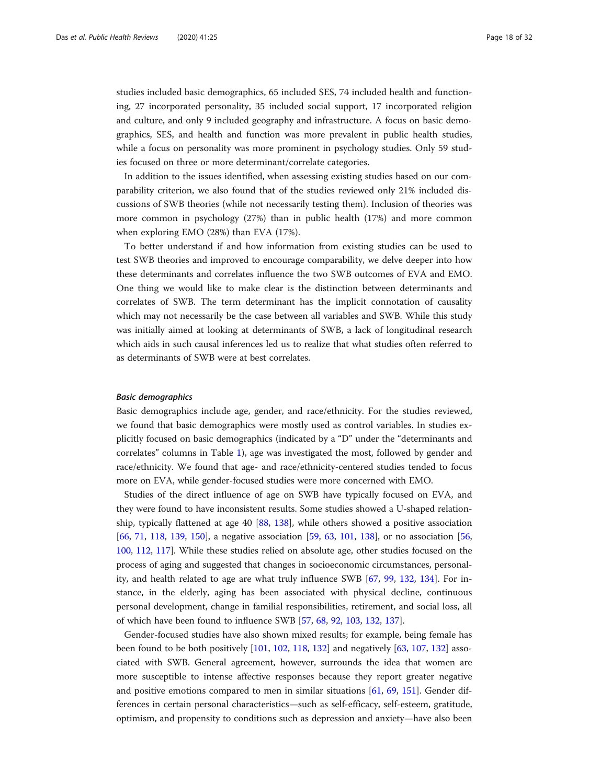studies included basic demographics, 65 included SES, 74 included health and functioning, 27 incorporated personality, 35 included social support, 17 incorporated religion and culture, and only 9 included geography and infrastructure. A focus on basic demographics, SES, and health and function was more prevalent in public health studies, while a focus on personality was more prominent in psychology studies. Only 59 studies focused on three or more determinant/correlate categories.

In addition to the issues identified, when assessing existing studies based on our comparability criterion, we also found that of the studies reviewed only 21% included discussions of SWB theories (while not necessarily testing them). Inclusion of theories was more common in psychology (27%) than in public health (17%) and more common when exploring EMO (28%) than EVA (17%).

To better understand if and how information from existing studies can be used to test SWB theories and improved to encourage comparability, we delve deeper into how these determinants and correlates influence the two SWB outcomes of EVA and EMO. One thing we would like to make clear is the distinction between determinants and correlates of SWB. The term determinant has the implicit connotation of causality which may not necessarily be the case between all variables and SWB. While this study was initially aimed at looking at determinants of SWB, a lack of longitudinal research which aids in such causal inferences led us to realize that what studies often referred to as determinants of SWB were at best correlates.

#### Basic demographics

Basic demographics include age, gender, and race/ethnicity. For the studies reviewed, we found that basic demographics were mostly used as control variables. In studies explicitly focused on basic demographics (indicated by a "D" under the "determinants and correlates" columns in Table [1](#page-12-0)), age was investigated the most, followed by gender and race/ethnicity. We found that age- and race/ethnicity-centered studies tended to focus more on EVA, while gender-focused studies were more concerned with EMO.

Studies of the direct influence of age on SWB have typically focused on EVA, and they were found to have inconsistent results. Some studies showed a U-shaped relationship, typically flattened at age 40 [[88,](#page-28-0) [138](#page-30-0)], while others showed a positive association [[66,](#page-28-0) [71](#page-28-0), [118,](#page-29-0) [139,](#page-30-0) [150](#page-30-0)], a negative association [[59,](#page-28-0) [63](#page-28-0), [101,](#page-29-0) [138\]](#page-30-0), or no association [[56](#page-28-0), [100](#page-29-0), [112](#page-29-0), [117\]](#page-29-0). While these studies relied on absolute age, other studies focused on the process of aging and suggested that changes in socioeconomic circumstances, personality, and health related to age are what truly influence SWB [[67,](#page-28-0) [99](#page-29-0), [132,](#page-30-0) [134](#page-30-0)]. For instance, in the elderly, aging has been associated with physical decline, continuous personal development, change in familial responsibilities, retirement, and social loss, all of which have been found to influence SWB [[57,](#page-28-0) [68,](#page-28-0) [92,](#page-29-0) [103](#page-29-0), [132](#page-30-0), [137](#page-30-0)].

Gender-focused studies have also shown mixed results; for example, being female has been found to be both positively [\[101](#page-29-0), [102](#page-29-0), [118,](#page-29-0) [132\]](#page-30-0) and negatively [\[63](#page-28-0), [107](#page-29-0), [132\]](#page-30-0) associated with SWB. General agreement, however, surrounds the idea that women are more susceptible to intense affective responses because they report greater negative and positive emotions compared to men in similar situations [\[61,](#page-28-0) [69](#page-28-0), [151](#page-30-0)]. Gender differences in certain personal characteristics—such as self-efficacy, self-esteem, gratitude, optimism, and propensity to conditions such as depression and anxiety—have also been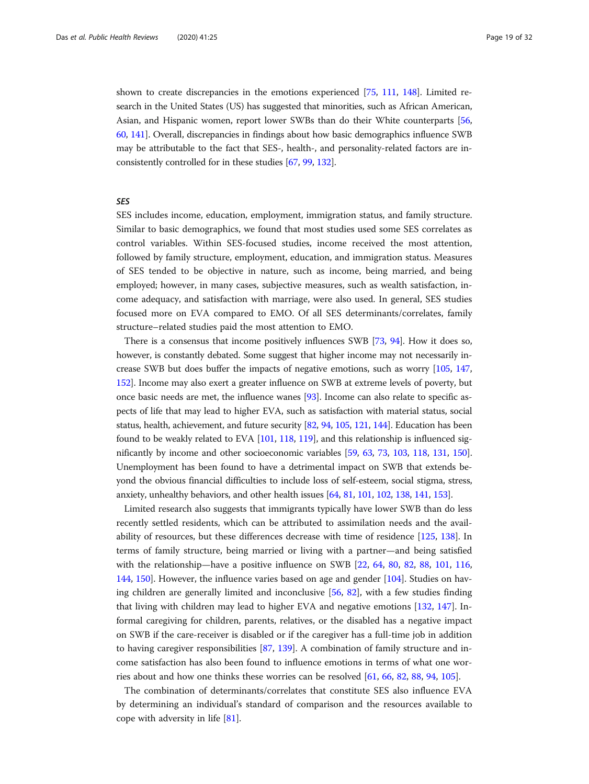shown to create discrepancies in the emotions experienced [[75](#page-28-0), [111,](#page-29-0) [148\]](#page-30-0). Limited research in the United States (US) has suggested that minorities, such as African American, Asian, and Hispanic women, report lower SWBs than do their White counterparts [[56](#page-28-0), [60](#page-28-0), [141\]](#page-30-0). Overall, discrepancies in findings about how basic demographics influence SWB may be attributable to the fact that SES-, health-, and personality-related factors are inconsistently controlled for in these studies [[67](#page-28-0), [99,](#page-29-0) [132\]](#page-30-0).

# SES

SES includes income, education, employment, immigration status, and family structure. Similar to basic demographics, we found that most studies used some SES correlates as control variables. Within SES-focused studies, income received the most attention, followed by family structure, employment, education, and immigration status. Measures of SES tended to be objective in nature, such as income, being married, and being employed; however, in many cases, subjective measures, such as wealth satisfaction, income adequacy, and satisfaction with marriage, were also used. In general, SES studies focused more on EVA compared to EMO. Of all SES determinants/correlates, family structure–related studies paid the most attention to EMO.

There is a consensus that income positively influences SWB [\[73,](#page-28-0) [94](#page-29-0)]. How it does so, however, is constantly debated. Some suggest that higher income may not necessarily increase SWB but does buffer the impacts of negative emotions, such as worry [[105](#page-29-0), [147](#page-30-0), [152](#page-30-0)]. Income may also exert a greater influence on SWB at extreme levels of poverty, but once basic needs are met, the influence wanes [\[93\]](#page-29-0). Income can also relate to specific aspects of life that may lead to higher EVA, such as satisfaction with material status, social status, health, achievement, and future security [[82](#page-28-0), [94,](#page-29-0) [105,](#page-29-0) [121,](#page-29-0) [144\]](#page-30-0). Education has been found to be weakly related to EVA [\[101,](#page-29-0) [118](#page-29-0), [119\]](#page-29-0), and this relationship is influenced significantly by income and other socioeconomic variables [[59](#page-28-0), [63,](#page-28-0) [73,](#page-28-0) [103](#page-29-0), [118](#page-29-0), [131](#page-30-0), [150](#page-30-0)]. Unemployment has been found to have a detrimental impact on SWB that extends beyond the obvious financial difficulties to include loss of self-esteem, social stigma, stress, anxiety, unhealthy behaviors, and other health issues [\[64,](#page-28-0) [81](#page-28-0), [101](#page-29-0), [102](#page-29-0), [138,](#page-30-0) [141,](#page-30-0) [153\]](#page-30-0).

Limited research also suggests that immigrants typically have lower SWB than do less recently settled residents, which can be attributed to assimilation needs and the availability of resources, but these differences decrease with time of residence [[125](#page-30-0), [138](#page-30-0)]. In terms of family structure, being married or living with a partner—and being satisfied with the relationship—have a positive influence on SWB [[22](#page-27-0), [64](#page-28-0), [80,](#page-28-0) [82,](#page-28-0) [88](#page-28-0), [101,](#page-29-0) [116](#page-29-0), [144](#page-30-0), [150](#page-30-0)]. However, the influence varies based on age and gender [\[104\]](#page-29-0). Studies on having children are generally limited and inconclusive [\[56](#page-28-0), [82\]](#page-28-0), with a few studies finding that living with children may lead to higher EVA and negative emotions [\[132,](#page-30-0) [147\]](#page-30-0). Informal caregiving for children, parents, relatives, or the disabled has a negative impact on SWB if the care-receiver is disabled or if the caregiver has a full-time job in addition to having caregiver responsibilities [[87,](#page-28-0) [139\]](#page-30-0). A combination of family structure and income satisfaction has also been found to influence emotions in terms of what one worries about and how one thinks these worries can be resolved [[61](#page-28-0), [66](#page-28-0), [82](#page-28-0), [88](#page-28-0), [94](#page-29-0), [105\]](#page-29-0).

The combination of determinants/correlates that constitute SES also influence EVA by determining an individual's standard of comparison and the resources available to cope with adversity in life [[81\]](#page-28-0).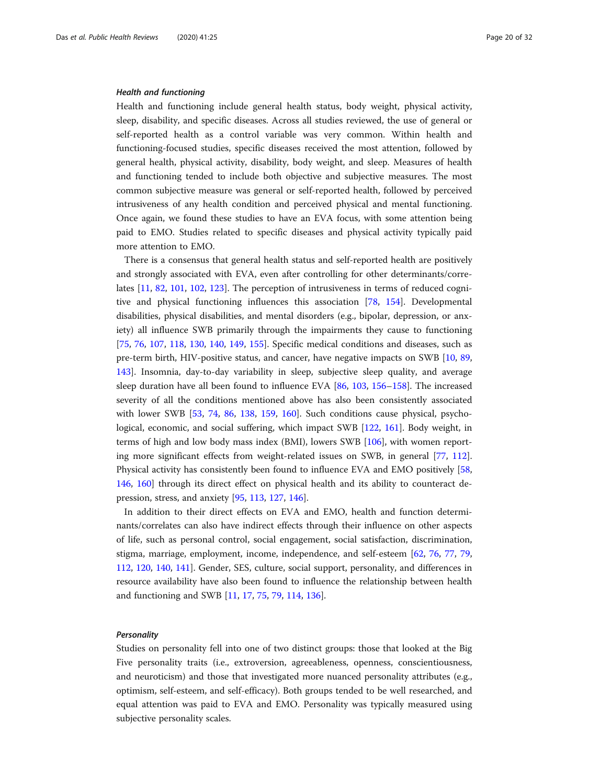### Health and functioning

Health and functioning include general health status, body weight, physical activity, sleep, disability, and specific diseases. Across all studies reviewed, the use of general or self-reported health as a control variable was very common. Within health and functioning-focused studies, specific diseases received the most attention, followed by general health, physical activity, disability, body weight, and sleep. Measures of health and functioning tended to include both objective and subjective measures. The most common subjective measure was general or self-reported health, followed by perceived intrusiveness of any health condition and perceived physical and mental functioning. Once again, we found these studies to have an EVA focus, with some attention being paid to EMO. Studies related to specific diseases and physical activity typically paid more attention to EMO.

There is a consensus that general health status and self-reported health are positively and strongly associated with EVA, even after controlling for other determinants/correlates [\[11,](#page-27-0) [82](#page-28-0), [101,](#page-29-0) [102,](#page-29-0) [123\]](#page-30-0). The perception of intrusiveness in terms of reduced cognitive and physical functioning influences this association [\[78](#page-28-0), [154\]](#page-30-0). Developmental disabilities, physical disabilities, and mental disorders (e.g., bipolar, depression, or anxiety) all influence SWB primarily through the impairments they cause to functioning [[75,](#page-28-0) [76,](#page-28-0) [107](#page-29-0), [118](#page-29-0), [130](#page-30-0), [140,](#page-30-0) [149,](#page-30-0) [155\]](#page-30-0). Specific medical conditions and diseases, such as pre-term birth, HIV-positive status, and cancer, have negative impacts on SWB [[10](#page-27-0), [89](#page-29-0), [143](#page-30-0)]. Insomnia, day-to-day variability in sleep, subjective sleep quality, and average sleep duration have all been found to influence EVA [[86,](#page-28-0) [103,](#page-29-0) [156](#page-30-0)–[158](#page-30-0)]. The increased severity of all the conditions mentioned above has also been consistently associated with lower SWB [[53](#page-28-0), [74,](#page-28-0) [86,](#page-28-0) [138,](#page-30-0) [159,](#page-31-0) [160\]](#page-31-0). Such conditions cause physical, psychological, economic, and social suffering, which impact SWB [[122](#page-29-0), [161\]](#page-31-0). Body weight, in terms of high and low body mass index (BMI), lowers SWB [\[106\]](#page-29-0), with women reporting more significant effects from weight-related issues on SWB, in general [\[77](#page-28-0), [112](#page-29-0)]. Physical activity has consistently been found to influence EVA and EMO positively [[58](#page-28-0), [146](#page-30-0), [160](#page-31-0)] through its direct effect on physical health and its ability to counteract depression, stress, and anxiety [[95](#page-29-0), [113](#page-29-0), [127](#page-30-0), [146\]](#page-30-0).

In addition to their direct effects on EVA and EMO, health and function determinants/correlates can also have indirect effects through their influence on other aspects of life, such as personal control, social engagement, social satisfaction, discrimination, stigma, marriage, employment, income, independence, and self-esteem [[62](#page-28-0), [76](#page-28-0), [77,](#page-28-0) [79](#page-28-0), [112](#page-29-0), [120](#page-29-0), [140](#page-30-0), [141](#page-30-0)]. Gender, SES, culture, social support, personality, and differences in resource availability have also been found to influence the relationship between health and functioning and SWB [\[11](#page-27-0), [17](#page-27-0), [75,](#page-28-0) [79,](#page-28-0) [114,](#page-29-0) [136\]](#page-30-0).

### **Personality**

Studies on personality fell into one of two distinct groups: those that looked at the Big Five personality traits (i.e., extroversion, agreeableness, openness, conscientiousness, and neuroticism) and those that investigated more nuanced personality attributes (e.g., optimism, self-esteem, and self-efficacy). Both groups tended to be well researched, and equal attention was paid to EVA and EMO. Personality was typically measured using subjective personality scales.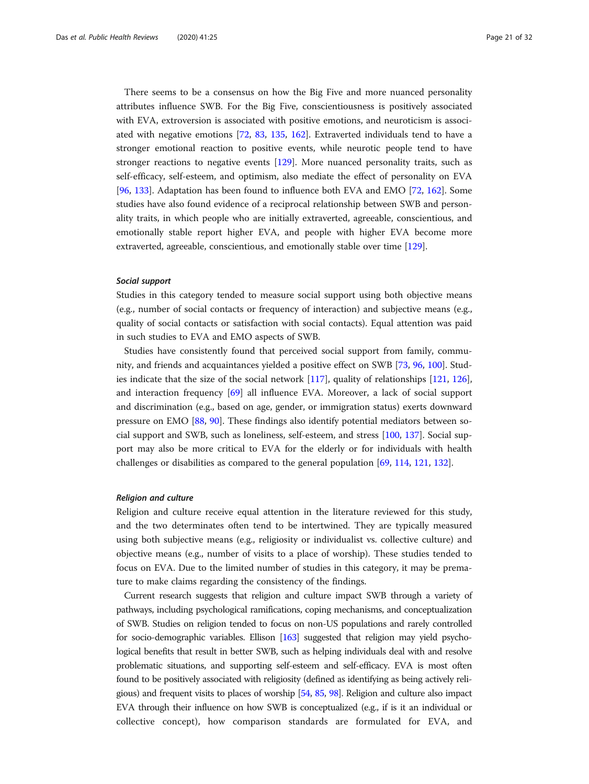There seems to be a consensus on how the Big Five and more nuanced personality attributes influence SWB. For the Big Five, conscientiousness is positively associated with EVA, extroversion is associated with positive emotions, and neuroticism is associated with negative emotions [\[72](#page-28-0), [83,](#page-28-0) [135](#page-30-0), [162](#page-31-0)]. Extraverted individuals tend to have a stronger emotional reaction to positive events, while neurotic people tend to have stronger reactions to negative events [[129](#page-30-0)]. More nuanced personality traits, such as self-efficacy, self-esteem, and optimism, also mediate the effect of personality on EVA [[96,](#page-29-0) [133\]](#page-30-0). Adaptation has been found to influence both EVA and EMO [[72,](#page-28-0) [162\]](#page-31-0). Some studies have also found evidence of a reciprocal relationship between SWB and personality traits, in which people who are initially extraverted, agreeable, conscientious, and emotionally stable report higher EVA, and people with higher EVA become more extraverted, agreeable, conscientious, and emotionally stable over time [\[129](#page-30-0)].

#### Social support

Studies in this category tended to measure social support using both objective means (e.g., number of social contacts or frequency of interaction) and subjective means (e.g., quality of social contacts or satisfaction with social contacts). Equal attention was paid in such studies to EVA and EMO aspects of SWB.

Studies have consistently found that perceived social support from family, community, and friends and acquaintances yielded a positive effect on SWB [[73,](#page-28-0) [96](#page-29-0), [100](#page-29-0)]. Studies indicate that the size of the social network [[117\]](#page-29-0), quality of relationships [\[121](#page-29-0), [126](#page-30-0)], and interaction frequency [[69\]](#page-28-0) all influence EVA. Moreover, a lack of social support and discrimination (e.g., based on age, gender, or immigration status) exerts downward pressure on EMO [[88,](#page-28-0) [90\]](#page-29-0). These findings also identify potential mediators between social support and SWB, such as loneliness, self-esteem, and stress [\[100](#page-29-0), [137](#page-30-0)]. Social support may also be more critical to EVA for the elderly or for individuals with health challenges or disabilities as compared to the general population [\[69](#page-28-0), [114,](#page-29-0) [121,](#page-29-0) [132](#page-30-0)].

#### Religion and culture

Religion and culture receive equal attention in the literature reviewed for this study, and the two determinates often tend to be intertwined. They are typically measured using both subjective means (e.g., religiosity or individualist vs. collective culture) and objective means (e.g., number of visits to a place of worship). These studies tended to focus on EVA. Due to the limited number of studies in this category, it may be premature to make claims regarding the consistency of the findings.

Current research suggests that religion and culture impact SWB through a variety of pathways, including psychological ramifications, coping mechanisms, and conceptualization of SWB. Studies on religion tended to focus on non-US populations and rarely controlled for socio-demographic variables. Ellison [\[163](#page-31-0)] suggested that religion may yield psychological benefits that result in better SWB, such as helping individuals deal with and resolve problematic situations, and supporting self-esteem and self-efficacy. EVA is most often found to be positively associated with religiosity (defined as identifying as being actively religious) and frequent visits to places of worship [\[54,](#page-28-0) [85](#page-28-0), [98](#page-29-0)]. Religion and culture also impact EVA through their influence on how SWB is conceptualized (e.g., if is it an individual or collective concept), how comparison standards are formulated for EVA, and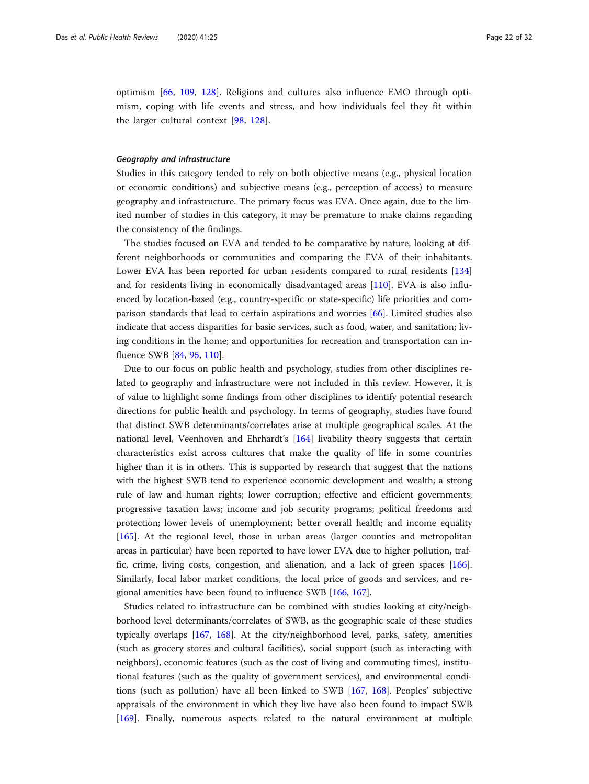optimism [[66,](#page-28-0) [109,](#page-29-0) [128\]](#page-30-0). Religions and cultures also influence EMO through optimism, coping with life events and stress, and how individuals feel they fit within the larger cultural context [[98,](#page-29-0) [128](#page-30-0)].

# Geography and infrastructure

Studies in this category tended to rely on both objective means (e.g., physical location or economic conditions) and subjective means (e.g., perception of access) to measure geography and infrastructure. The primary focus was EVA. Once again, due to the limited number of studies in this category, it may be premature to make claims regarding the consistency of the findings.

The studies focused on EVA and tended to be comparative by nature, looking at different neighborhoods or communities and comparing the EVA of their inhabitants. Lower EVA has been reported for urban residents compared to rural residents [[134](#page-30-0)] and for residents living in economically disadvantaged areas [[110\]](#page-29-0). EVA is also influenced by location-based (e.g., country-specific or state-specific) life priorities and comparison standards that lead to certain aspirations and worries [\[66\]](#page-28-0). Limited studies also indicate that access disparities for basic services, such as food, water, and sanitation; living conditions in the home; and opportunities for recreation and transportation can influence SWB [[84,](#page-28-0) [95,](#page-29-0) [110](#page-29-0)].

Due to our focus on public health and psychology, studies from other disciplines related to geography and infrastructure were not included in this review. However, it is of value to highlight some findings from other disciplines to identify potential research directions for public health and psychology. In terms of geography, studies have found that distinct SWB determinants/correlates arise at multiple geographical scales. At the national level, Veenhoven and Ehrhardt's [\[164](#page-31-0)] livability theory suggests that certain characteristics exist across cultures that make the quality of life in some countries higher than it is in others. This is supported by research that suggest that the nations with the highest SWB tend to experience economic development and wealth; a strong rule of law and human rights; lower corruption; effective and efficient governments; progressive taxation laws; income and job security programs; political freedoms and protection; lower levels of unemployment; better overall health; and income equality [[165\]](#page-31-0). At the regional level, those in urban areas (larger counties and metropolitan areas in particular) have been reported to have lower EVA due to higher pollution, traffic, crime, living costs, congestion, and alienation, and a lack of green spaces [[166](#page-31-0)]. Similarly, local labor market conditions, the local price of goods and services, and regional amenities have been found to influence SWB [\[166,](#page-31-0) [167\]](#page-31-0).

Studies related to infrastructure can be combined with studies looking at city/neighborhood level determinants/correlates of SWB, as the geographic scale of these studies typically overlaps [\[167,](#page-31-0) [168](#page-31-0)]. At the city/neighborhood level, parks, safety, amenities (such as grocery stores and cultural facilities), social support (such as interacting with neighbors), economic features (such as the cost of living and commuting times), institutional features (such as the quality of government services), and environmental conditions (such as pollution) have all been linked to SWB [[167,](#page-31-0) [168\]](#page-31-0). Peoples' subjective appraisals of the environment in which they live have also been found to impact SWB [[169\]](#page-31-0). Finally, numerous aspects related to the natural environment at multiple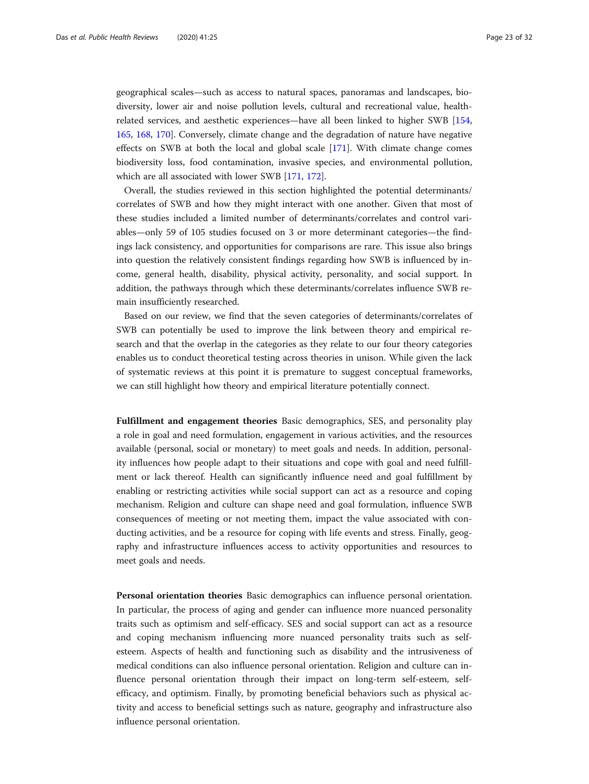geographical scales—such as access to natural spaces, panoramas and landscapes, biodiversity, lower air and noise pollution levels, cultural and recreational value, healthrelated services, and aesthetic experiences—have all been linked to higher SWB [[154](#page-30-0), [165](#page-31-0), [168](#page-31-0), [170](#page-31-0)]. Conversely, climate change and the degradation of nature have negative effects on SWB at both the local and global scale [\[171\]](#page-31-0). With climate change comes biodiversity loss, food contamination, invasive species, and environmental pollution, which are all associated with lower SWB [\[171](#page-31-0), [172\]](#page-31-0).

Overall, the studies reviewed in this section highlighted the potential determinants/ correlates of SWB and how they might interact with one another. Given that most of these studies included a limited number of determinants/correlates and control variables—only 59 of 105 studies focused on 3 or more determinant categories—the findings lack consistency, and opportunities for comparisons are rare. This issue also brings into question the relatively consistent findings regarding how SWB is influenced by income, general health, disability, physical activity, personality, and social support. In addition, the pathways through which these determinants/correlates influence SWB remain insufficiently researched.

Based on our review, we find that the seven categories of determinants/correlates of SWB can potentially be used to improve the link between theory and empirical research and that the overlap in the categories as they relate to our four theory categories enables us to conduct theoretical testing across theories in unison. While given the lack of systematic reviews at this point it is premature to suggest conceptual frameworks, we can still highlight how theory and empirical literature potentially connect.

Fulfillment and engagement theories Basic demographics, SES, and personality play a role in goal and need formulation, engagement in various activities, and the resources available (personal, social or monetary) to meet goals and needs. In addition, personality influences how people adapt to their situations and cope with goal and need fulfillment or lack thereof. Health can significantly influence need and goal fulfillment by enabling or restricting activities while social support can act as a resource and coping mechanism. Religion and culture can shape need and goal formulation, influence SWB consequences of meeting or not meeting them, impact the value associated with conducting activities, and be a resource for coping with life events and stress. Finally, geography and infrastructure influences access to activity opportunities and resources to meet goals and needs.

Personal orientation theories Basic demographics can influence personal orientation. In particular, the process of aging and gender can influence more nuanced personality traits such as optimism and self-efficacy. SES and social support can act as a resource and coping mechanism influencing more nuanced personality traits such as selfesteem. Aspects of health and functioning such as disability and the intrusiveness of medical conditions can also influence personal orientation. Religion and culture can influence personal orientation through their impact on long-term self-esteem, selfefficacy, and optimism. Finally, by promoting beneficial behaviors such as physical activity and access to beneficial settings such as nature, geography and infrastructure also influence personal orientation.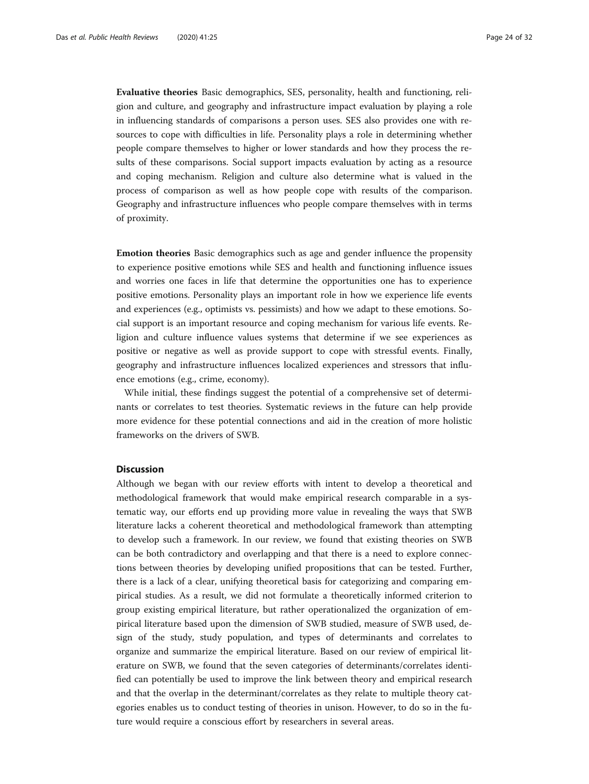Evaluative theories Basic demographics, SES, personality, health and functioning, religion and culture, and geography and infrastructure impact evaluation by playing a role in influencing standards of comparisons a person uses. SES also provides one with resources to cope with difficulties in life. Personality plays a role in determining whether people compare themselves to higher or lower standards and how they process the results of these comparisons. Social support impacts evaluation by acting as a resource and coping mechanism. Religion and culture also determine what is valued in the process of comparison as well as how people cope with results of the comparison. Geography and infrastructure influences who people compare themselves with in terms of proximity.

Emotion theories Basic demographics such as age and gender influence the propensity to experience positive emotions while SES and health and functioning influence issues and worries one faces in life that determine the opportunities one has to experience positive emotions. Personality plays an important role in how we experience life events and experiences (e.g., optimists vs. pessimists) and how we adapt to these emotions. Social support is an important resource and coping mechanism for various life events. Religion and culture influence values systems that determine if we see experiences as positive or negative as well as provide support to cope with stressful events. Finally, geography and infrastructure influences localized experiences and stressors that influence emotions (e.g., crime, economy).

While initial, these findings suggest the potential of a comprehensive set of determinants or correlates to test theories. Systematic reviews in the future can help provide more evidence for these potential connections and aid in the creation of more holistic frameworks on the drivers of SWB.

## **Discussion**

Although we began with our review efforts with intent to develop a theoretical and methodological framework that would make empirical research comparable in a systematic way, our efforts end up providing more value in revealing the ways that SWB literature lacks a coherent theoretical and methodological framework than attempting to develop such a framework. In our review, we found that existing theories on SWB can be both contradictory and overlapping and that there is a need to explore connections between theories by developing unified propositions that can be tested. Further, there is a lack of a clear, unifying theoretical basis for categorizing and comparing empirical studies. As a result, we did not formulate a theoretically informed criterion to group existing empirical literature, but rather operationalized the organization of empirical literature based upon the dimension of SWB studied, measure of SWB used, design of the study, study population, and types of determinants and correlates to organize and summarize the empirical literature. Based on our review of empirical literature on SWB, we found that the seven categories of determinants/correlates identified can potentially be used to improve the link between theory and empirical research and that the overlap in the determinant/correlates as they relate to multiple theory categories enables us to conduct testing of theories in unison. However, to do so in the future would require a conscious effort by researchers in several areas.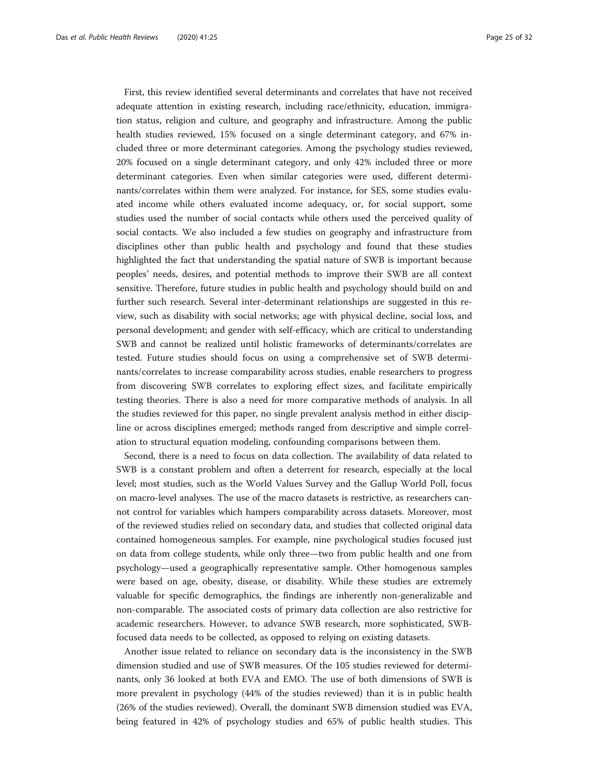First, this review identified several determinants and correlates that have not received adequate attention in existing research, including race/ethnicity, education, immigration status, religion and culture, and geography and infrastructure. Among the public health studies reviewed, 15% focused on a single determinant category, and 67% included three or more determinant categories. Among the psychology studies reviewed, 20% focused on a single determinant category, and only 42% included three or more determinant categories. Even when similar categories were used, different determinants/correlates within them were analyzed. For instance, for SES, some studies evaluated income while others evaluated income adequacy, or, for social support, some studies used the number of social contacts while others used the perceived quality of social contacts. We also included a few studies on geography and infrastructure from disciplines other than public health and psychology and found that these studies highlighted the fact that understanding the spatial nature of SWB is important because peoples' needs, desires, and potential methods to improve their SWB are all context sensitive. Therefore, future studies in public health and psychology should build on and further such research. Several inter-determinant relationships are suggested in this review, such as disability with social networks; age with physical decline, social loss, and personal development; and gender with self-efficacy, which are critical to understanding SWB and cannot be realized until holistic frameworks of determinants/correlates are tested. Future studies should focus on using a comprehensive set of SWB determinants/correlates to increase comparability across studies, enable researchers to progress from discovering SWB correlates to exploring effect sizes, and facilitate empirically testing theories. There is also a need for more comparative methods of analysis. In all the studies reviewed for this paper, no single prevalent analysis method in either discipline or across disciplines emerged; methods ranged from descriptive and simple correlation to structural equation modeling, confounding comparisons between them.

Second, there is a need to focus on data collection. The availability of data related to SWB is a constant problem and often a deterrent for research, especially at the local level; most studies, such as the World Values Survey and the Gallup World Poll, focus on macro-level analyses. The use of the macro datasets is restrictive, as researchers cannot control for variables which hampers comparability across datasets. Moreover, most of the reviewed studies relied on secondary data, and studies that collected original data contained homogeneous samples. For example, nine psychological studies focused just on data from college students, while only three—two from public health and one from psychology—used a geographically representative sample. Other homogenous samples were based on age, obesity, disease, or disability. While these studies are extremely valuable for specific demographics, the findings are inherently non-generalizable and non-comparable. The associated costs of primary data collection are also restrictive for academic researchers. However, to advance SWB research, more sophisticated, SWBfocused data needs to be collected, as opposed to relying on existing datasets.

Another issue related to reliance on secondary data is the inconsistency in the SWB dimension studied and use of SWB measures. Of the 105 studies reviewed for determinants, only 36 looked at both EVA and EMO. The use of both dimensions of SWB is more prevalent in psychology (44% of the studies reviewed) than it is in public health (26% of the studies reviewed). Overall, the dominant SWB dimension studied was EVA, being featured in 42% of psychology studies and 65% of public health studies. This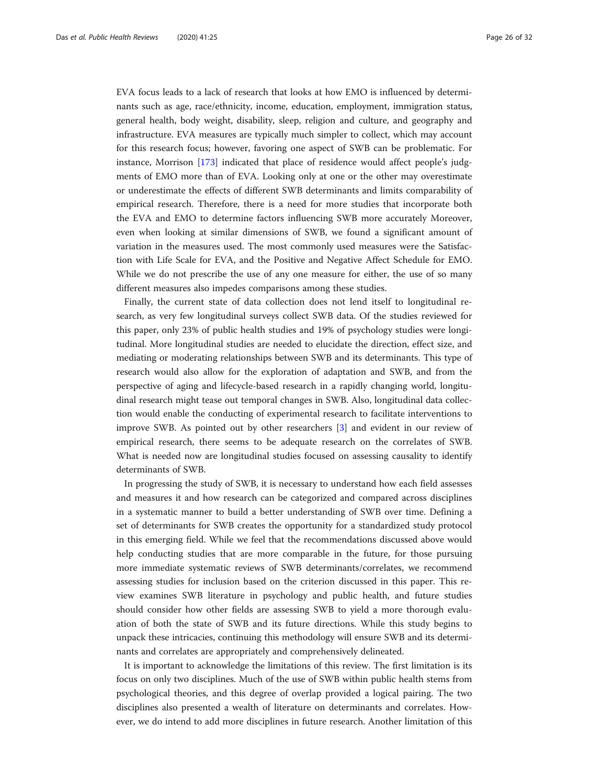EVA focus leads to a lack of research that looks at how EMO is influenced by determinants such as age, race/ethnicity, income, education, employment, immigration status, general health, body weight, disability, sleep, religion and culture, and geography and infrastructure. EVA measures are typically much simpler to collect, which may account for this research focus; however, favoring one aspect of SWB can be problematic. For instance, Morrison [[173\]](#page-31-0) indicated that place of residence would affect people's judgments of EMO more than of EVA. Looking only at one or the other may overestimate or underestimate the effects of different SWB determinants and limits comparability of empirical research. Therefore, there is a need for more studies that incorporate both the EVA and EMO to determine factors influencing SWB more accurately Moreover, even when looking at similar dimensions of SWB, we found a significant amount of variation in the measures used. The most commonly used measures were the Satisfaction with Life Scale for EVA, and the Positive and Negative Affect Schedule for EMO. While we do not prescribe the use of any one measure for either, the use of so many different measures also impedes comparisons among these studies.

Finally, the current state of data collection does not lend itself to longitudinal research, as very few longitudinal surveys collect SWB data. Of the studies reviewed for this paper, only 23% of public health studies and 19% of psychology studies were longitudinal. More longitudinal studies are needed to elucidate the direction, effect size, and mediating or moderating relationships between SWB and its determinants. This type of research would also allow for the exploration of adaptation and SWB, and from the perspective of aging and lifecycle-based research in a rapidly changing world, longitudinal research might tease out temporal changes in SWB. Also, longitudinal data collection would enable the conducting of experimental research to facilitate interventions to improve SWB. As pointed out by other researchers [\[3](#page-27-0)] and evident in our review of empirical research, there seems to be adequate research on the correlates of SWB. What is needed now are longitudinal studies focused on assessing causality to identify determinants of SWB.

In progressing the study of SWB, it is necessary to understand how each field assesses and measures it and how research can be categorized and compared across disciplines in a systematic manner to build a better understanding of SWB over time. Defining a set of determinants for SWB creates the opportunity for a standardized study protocol in this emerging field. While we feel that the recommendations discussed above would help conducting studies that are more comparable in the future, for those pursuing more immediate systematic reviews of SWB determinants/correlates, we recommend assessing studies for inclusion based on the criterion discussed in this paper. This review examines SWB literature in psychology and public health, and future studies should consider how other fields are assessing SWB to yield a more thorough evaluation of both the state of SWB and its future directions. While this study begins to unpack these intricacies, continuing this methodology will ensure SWB and its determinants and correlates are appropriately and comprehensively delineated.

It is important to acknowledge the limitations of this review. The first limitation is its focus on only two disciplines. Much of the use of SWB within public health stems from psychological theories, and this degree of overlap provided a logical pairing. The two disciplines also presented a wealth of literature on determinants and correlates. However, we do intend to add more disciplines in future research. Another limitation of this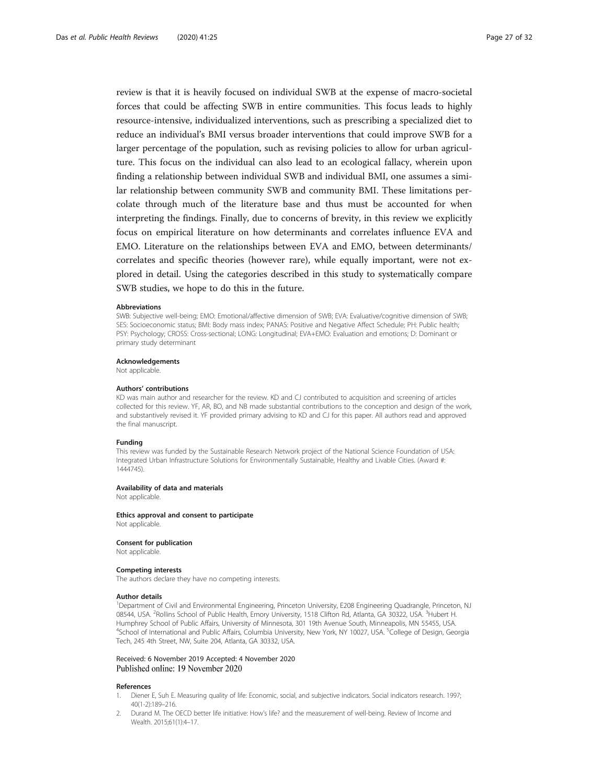<span id="page-26-0"></span>review is that it is heavily focused on individual SWB at the expense of macro-societal forces that could be affecting SWB in entire communities. This focus leads to highly resource-intensive, individualized interventions, such as prescribing a specialized diet to reduce an individual's BMI versus broader interventions that could improve SWB for a larger percentage of the population, such as revising policies to allow for urban agriculture. This focus on the individual can also lead to an ecological fallacy, wherein upon finding a relationship between individual SWB and individual BMI, one assumes a similar relationship between community SWB and community BMI. These limitations percolate through much of the literature base and thus must be accounted for when interpreting the findings. Finally, due to concerns of brevity, in this review we explicitly focus on empirical literature on how determinants and correlates influence EVA and EMO. Literature on the relationships between EVA and EMO, between determinants/ correlates and specific theories (however rare), while equally important, were not explored in detail. Using the categories described in this study to systematically compare SWB studies, we hope to do this in the future.

#### Abbreviations

SWB: Subjective well-being; EMO: Emotional/affective dimension of SWB; EVA: Evaluative/cognitive dimension of SWB; SES: Socioeconomic status; BMI: Body mass index; PANAS: Positive and Negative Affect Schedule; PH: Public health; PSY: Psychology; CROSS: Cross-sectional; LONG: Longitudinal; EVA+EMO: Evaluation and emotions; D: Dominant or primary study determinant

#### Acknowledgements

Not applicable.

#### Authors' contributions

KD was main author and researcher for the review. KD and CJ contributed to acquisition and screening of articles collected for this review. YF, AR, BO, and NB made substantial contributions to the conception and design of the work, and substantively revised it. YF provided primary advising to KD and CJ for this paper. All authors read and approved the final manuscript.

#### Funding

This review was funded by the Sustainable Research Network project of the National Science Foundation of USA: Integrated Urban Infrastructure Solutions for Environmentally Sustainable, Healthy and Livable Cities. (Award #: 1444745).

#### Availability of data and materials

Not applicable.

#### Ethics approval and consent to participate Not applicable.

Consent for publication

Not applicable.

#### Competing interests

The authors declare they have no competing interests.

#### Author details

1 Department of Civil and Environmental Engineering, Princeton University, E208 Engineering Quadrangle, Princeton, NJ 08544, USA. <sup>2</sup>Rollins School of Public Health, Emory University, 1518 Clifton Rd, Atlanta, GA 30322, USA. <sup>3</sup>Hubert H. Humphrey School of Public Affairs, University of Minnesota, 301 19th Avenue South, Minneapolis, MN 55455, USA. <sup>4</sup>School of International and Public Affairs, Columbia University, New York, NY 10027, USA. <sup>5</sup>College of Design, Georgia Tech, 245 4th Street, NW, Suite 204, Atlanta, GA 30332, USA.

#### Received: 6 November 2019 Accepted: 4 November 2020 Published online: 19 November 2020

#### References

- 1. Diener E, Suh E. Measuring quality of life: Economic, social, and subjective indicators. Social indicators research. 1997; 40(1-2):189–216.
- 2. Durand M. The OECD better life initiative: How's life? and the measurement of well-being. Review of Income and Wealth. 2015;61(1):4–17.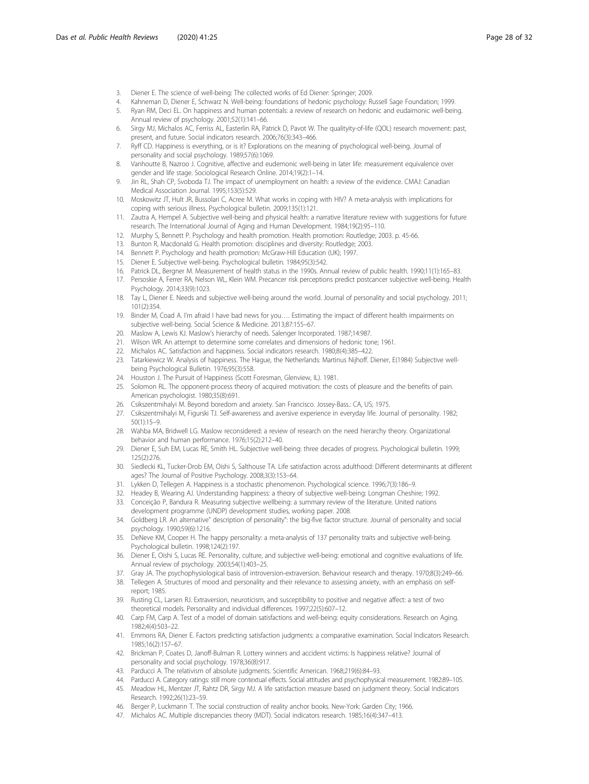- <span id="page-27-0"></span>3. Diener E. The science of well-being: The collected works of Ed Diener: Springer; 2009.
- 4. Kahneman D, Diener E, Schwarz N. Well-being: foundations of hedonic psychology: Russell Sage Foundation; 1999.
- 5. Ryan RM, Deci EL. On happiness and human potentials: a review of research on hedonic and eudaimonic well-being. Annual review of psychology. 2001;52(1):141–66.
- 6. Sirgy MJ, Michalos AC, Ferriss AL, Easterlin RA, Patrick D, Pavot W. The qualityity-of-life (QOL) research movement: past, present, and future. Social indicators research. 2006;76(3):343–466.
- 7. Ryff CD. Happiness is everything, or is it? Explorations on the meaning of psychological well-being. Journal of personality and social psychology. 1989;57(6):1069.
- 8. Vanhoutte B, Nazroo J. Cognitive, affective and eudemonic well-being in later life: measurement equivalence over gender and life stage. Sociological Research Online. 2014;19(2):1–14.
- 9. Jin RL, Shah CP, Svoboda TJ. The impact of unemployment on health: a review of the evidence. CMAJ: Canadian Medical Association Journal. 1995;153(5):529.
- 10. Moskowitz JT, Hult JR, Bussolari C, Acree M. What works in coping with HIV? A meta-analysis with implications for coping with serious illness. Psychological bulletin. 2009;135(1):121.
- 11. Zautra A, Hempel A. Subjective well-being and physical health: a narrative literature review with suggestions for future research. The International Journal of Aging and Human Development. 1984;19(2):95–110.
- 12. Murphy S, Bennett P. Psychology and health promotion. Health promotion: Routledge; 2003. p. 45-66.
- 13. Bunton R, Macdonald G. Health promotion: disciplines and diversity: Routledge; 2003.
- 14. Bennett P. Psychology and health promotion: McGraw-Hill Education (UK); 1997.
- 15. Diener E. Subjective well-being. Psychological bulletin. 1984;95(3):542.
- 16. Patrick DL, Bergner M. Measurement of health status in the 1990s. Annual review of public health. 1990;11(1):165–83.
- 17. Persoskie A, Ferrer RA, Nelson WL, Klein WM. Precancer risk perceptions predict postcancer subjective well-being. Health Psychology. 2014;33(9):1023.
- 18. Tay L, Diener E. Needs and subjective well-being around the world. Journal of personality and social psychology. 2011; 101(2):354.
- 19. Binder M, Coad A. I'm afraid I have bad news for you…. Estimating the impact of different health impairments on subjective well-being. Social Science & Medicine. 2013;87:155–67.
- 20. Maslow A, Lewis KJ. Maslow's hierarchy of needs. Salenger Incorporated. 1987;14:987.
- 21. Wilson WR. An attempt to determine some correlates and dimensions of hedonic tone; 1961.
- 22. Michalos AC. Satisfaction and happiness. Social indicators research. 1980;8(4):385–422.
- 23. Tatarkiewicz W. Analysis of happiness. The Hague, the Netherlands: Martinus Nijhoff. Diener, E(1984) Subjective wellbeing Psychological Bulletin. 1976;95(3):558.
- 24. Houston J. The Pursuit of Happiness (Scott Foresman, Glenview, IL). 1981.
- 25. Solomon RL. The opponent-process theory of acquired motivation: the costs of pleasure and the benefits of pain. American psychologist. 1980;35(8):691.
- 26. Csikszentmihalyi M. Beyond boredom and anxiety. San Francisco. Jossey-Bass.: CA, US; 1975.
- 27. Csikszentmihalyi M, Figurski TJ. Self-awareness and aversive experience in everyday life. Journal of personality. 1982; 50(1):15–9.
- 28. Wahba MA, Bridwell LG. Maslow reconsidered: a review of research on the need hierarchy theory. Organizational behavior and human performance. 1976;15(2):212–40.
- 29. Diener E, Suh EM, Lucas RE, Smith HL. Subjective well-being: three decades of progress. Psychological bulletin. 1999; 125(2):276.
- 30. Siedlecki KL, Tucker-Drob EM, Oishi S, Salthouse TA. Life satisfaction across adulthood: Different determinants at different ages? The Journal of Positive Psychology. 2008;3(3):153–64.
- 31. Lykken D, Tellegen A. Happiness is a stochastic phenomenon. Psychological science. 1996;7(3):186–9.
- 32. Headey B, Wearing AJ. Understanding happiness: a theory of subjective well-being: Longman Cheshire; 1992.
- 33. Conceição P, Bandura R. Measuring subjective wellbeing: a summary review of the literature. United nations development programme (UNDP) development studies, working paper. 2008.
- 34. Goldberg LR. An alternative" description of personality": the big-five factor structure. Journal of personality and social psychology. 1990;59(6):1216.
- 35. DeNeve KM, Cooper H. The happy personality: a meta-analysis of 137 personality traits and subjective well-being. Psychological bulletin. 1998;124(2):197.
- 36. Diener E, Oishi S, Lucas RE. Personality, culture, and subjective well-being: emotional and cognitive evaluations of life. Annual review of psychology. 2003;54(1):403–25.
- 37. Gray JA. The psychophysiological basis of introversion-extraversion. Behaviour research and therapy. 1970;8(3):249–66.
- 38. Tellegen A. Structures of mood and personality and their relevance to assessing anxiety, with an emphasis on selfreport; 1985.
- 39. Rusting CL, Larsen RJ. Extraversion, neuroticism, and susceptibility to positive and negative affect: a test of two theoretical models. Personality and individual differences. 1997;22(5):607–12.
- 40. Carp FM, Carp A. Test of a model of domain satisfactions and well-being: equity considerations. Research on Aging. 1982;4(4):503–22.
- 41. Emmons RA, Diener E. Factors predicting satisfaction judgments: a comparative examination. Social Indicators Research. 1985;16(2):157–67.
- 42. Brickman P, Coates D, Janoff-Bulman R. Lottery winners and accident victims: Is happiness relative? Journal of personality and social psychology. 1978;36(8):917.
- 43. Parducci A. The relativism of absolute judgments. Scientific American. 1968;219(6):84–93.
- 44. Parducci A. Category ratings: still more contextual effects. Social attitudes and psychophysical measurement. 1982:89–105.
- 45. Meadow HL, Mentzer JT, Rahtz DR, Sirgy MJ. A life satisfaction measure based on judgment theory. Social Indicators Research. 1992;26(1):23–59.
- 46. Berger P, Luckmann T. The social construction of reality anchor books. New-York: Garden City; 1966.
- 47. Michalos AC. Multiple discrepancies theory (MDT). Social indicators research. 1985;16(4):347–413.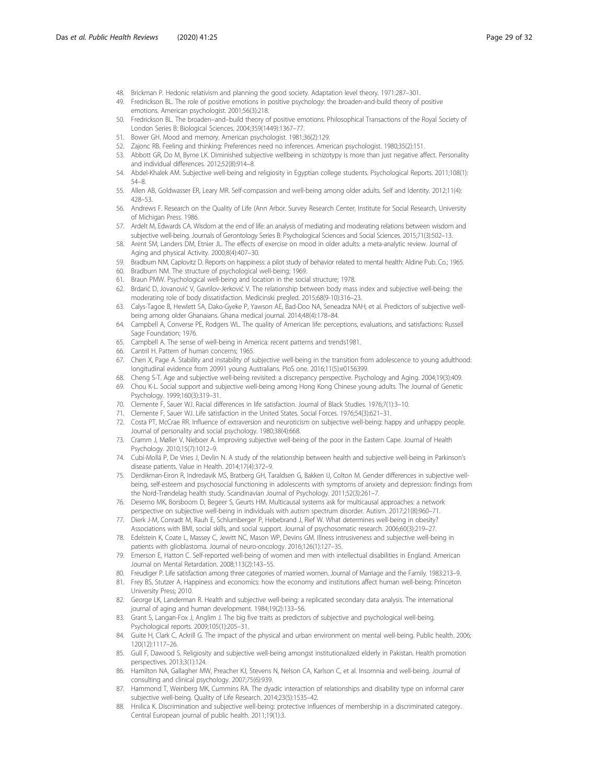- <span id="page-28-0"></span>48. Brickman P. Hedonic relativism and planning the good society. Adaptation level theory. 1971:287–301.
- 49. Fredrickson BL. The role of positive emotions in positive psychology: the broaden-and-build theory of positive emotions. American psychologist. 2001;56(3):218.
- 50. Fredrickson BL. The broaden–and–build theory of positive emotions. Philosophical Transactions of the Royal Society of London Series B: Biological Sciences. 2004;359(1449):1367–77.
- 51. Bower GH. Mood and memory. American psychologist. 1981;36(2):129.
- 52. Zajonc RB. Feeling and thinking: Preferences need no inferences. American psychologist. 1980;35(2):151.
- 53. Abbott GR, Do M, Byrne LK. Diminished subjective wellbeing in schizotypy is more than just negative affect. Personality and individual differences. 2012;52(8):914–8.
- 54. Abdel-Khalek AM. Subjective well-being and religiosity in Egyptian college students. Psychological Reports. 2011;108(1): 54–8.
- 55. Allen AB, Goldwasser ER, Leary MR. Self-compassion and well-being among older adults. Self and Identity. 2012;11(4): 428–53.
- 56. Andrews F. Research on the Quality of Life (Ann Arbor. Survey Research Center, Institute for Social Research, University of Michigan Press. 1986.
- 57. Ardelt M, Edwards CA. Wisdom at the end of life: an analysis of mediating and moderating relations between wisdom and subjective well-being. Journals of Gerontology Series B: Psychological Sciences and Social Sciences. 2015;71(3):502–13.
- 58. Arent SM, Landers DM, Etnier JL. The effects of exercise on mood in older adults: a meta-analytic review. Journal of Aging and physical Activity. 2000;8(4):407–30.
- 59. Bradburn NM, Caplovitz D. Reports on happiness: a pilot study of behavior related to mental health: Aldine Pub. Co.; 1965.
- 60. Bradburn NM. The structure of psychological well-being; 1969.
- 61. Braun PMW. Psychological well-being and location in the social structure; 1978.
- 62. Brdarić D, Jovanović V, Gavrilov-Jerković V. The relationship between body mass index and subjective well-being: the moderating role of body dissatisfaction. Medicinski pregled. 2015;68(9-10):316–23.
- 63. Calys-Tagoe B, Hewlett SA, Dako-Gyeke P, Yawson AE, Bad-Doo NA, Seneadza NAH, et al. Predictors of subjective wellbeing among older Ghanaians. Ghana medical journal. 2014;48(4):178–84.
- 64. Campbell A, Converse PE, Rodgers WL. The quality of American life: perceptions, evaluations, and satisfactions: Russell Sage Foundation: 1976.
- 65. Campbell A. The sense of well-being in America: recent patterns and trends1981.
- 66. Cantril H. Pattern of human concerns; 1965.
- 67. Chen X, Page A. Stability and instability of subjective well-being in the transition from adolescence to young adulthood: longitudinal evidence from 20991 young Australians. PloS one. 2016;11(5):e0156399.
- 68. Cheng S-T. Age and subjective well-being revisited: a discrepancy perspective. Psychology and Aging. 2004;19(3):409.
- 69. Chou K-L. Social support and subjective well-being among Hong Kong Chinese young adults. The Journal of Genetic Psychology. 1999;160(3):319–31.
- 70. Clemente F, Sauer WJ. Racial differences in life satisfaction. Journal of Black Studies. 1976;7(1):3–10.
- 71. Clemente F, Sauer WJ. Life satisfaction in the United States. Social Forces. 1976;54(3):621–31.
- 72. Costa PT, McCrae RR. Influence of extraversion and neuroticism on subjective well-being: happy and unhappy people. Journal of personality and social psychology. 1980;38(4):668.
- 73. Cramm J, Møller V, Nieboer A. Improving subjective well-being of the poor in the Eastern Cape. Journal of Health Psychology. 2010;15(7):1012–9.
- 74. Cubí-Mollá P, De Vries J, Devlin N. A study of the relationship between health and subjective well-being in Parkinson's disease patients. Value in Health. 2014;17(4):372–9.
- 75. Derdikman-Eiron R, Indredavik MS, Bratberg GH, Taraldsen G, Bakken IJ, Colton M. Gender differences in subjective wellbeing, self-esteem and psychosocial functioning in adolescents with symptoms of anxiety and depression: findings from the Nord-Trøndelag health study. Scandinavian Journal of Psychology. 2011;52(3):261–7.
- 76. Deserno MK, Borsboom D, Begeer S, Geurts HM. Multicausal systems ask for multicausal approaches: a network perspective on subjective well-being in individuals with autism spectrum disorder. Autism. 2017;21(8):960–71.
- 77. Dierk J-M, Conradt M, Rauh E, Schlumberger P, Hebebrand J, Rief W. What determines well-being in obesity? Associations with BMI, social skills, and social support. Journal of psychosomatic research. 2006;60(3):219–27.
- 78. Edelstein K, Coate L, Massey C, Jewitt NC, Mason WP, Devins GM. Illness intrusiveness and subjective well-being in patients with glioblastoma. Journal of neuro-oncology. 2016;126(1):127–35.
- 79. Emerson E, Hatton C. Self-reported well-being of women and men with intellectual disabilities in England. American Journal on Mental Retardation. 2008;113(2):143–55.
- 80. Freudiger P. Life satisfaction among three categories of married women. Journal of Marriage and the Family. 1983:213–9.
- 81. Frey BS, Stutzer A. Happiness and economics: how the economy and institutions affect human well-being: Princeton University Press; 2010.
- 82. George LK, Landerman R. Health and subjective well-being: a replicated secondary data analysis. The international journal of aging and human development. 1984;19(2):133–56.
- 83. Grant S, Langan-Fox J, Anglim J. The big five traits as predictors of subjective and psychological well-being. Psychological reports. 2009;105(1):205–31.
- 84. Guite H, Clark C, Ackrill G. The impact of the physical and urban environment on mental well-being. Public health. 2006; 120(12):1117–26.
- 85. Gull F, Dawood S. Religiosity and subjective well-being amongst institutionalized elderly in Pakistan. Health promotion perspectives. 2013;3(1):124.
- 86. Hamilton NA, Gallagher MW, Preacher KJ, Stevens N, Nelson CA, Karlson C, et al. Insomnia and well-being. Journal of consulting and clinical psychology. 2007;75(6):939.
- 87. Hammond T, Weinberg MK, Cummins RA. The dyadic interaction of relationships and disability type on informal carer subjective well-being. Quality of Life Research. 2014;23(5):1535–42.
- 88. Hnilica K. Discrimination and subjective well-being: protective influences of membership in a discriminated category. Central European journal of public health. 2011;19(1):3.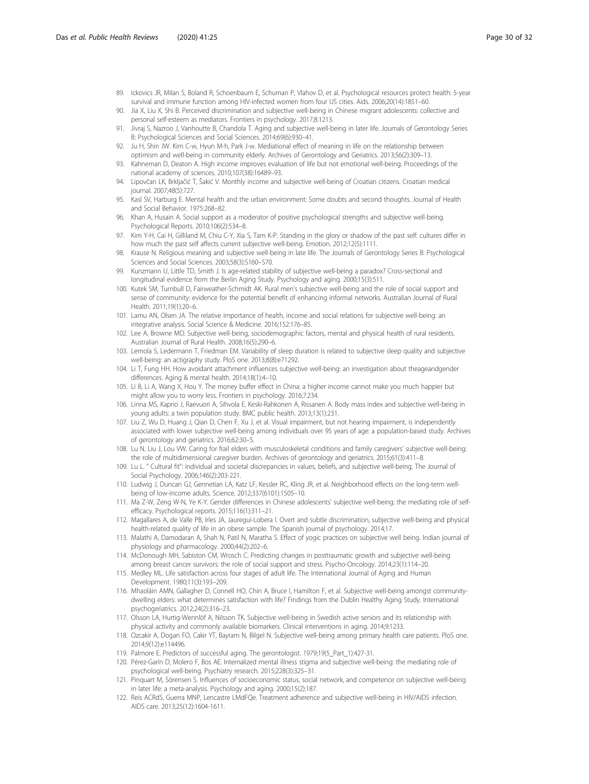- <span id="page-29-0"></span>89. Ickovics JR, Milan S, Boland R, Schoenbaum E, Schuman P, Vlahov D, et al. Psychological resources protect health: 5-year survival and immune function among HIV-infected women from four US cities. Aids. 2006;20(14):1851–60.
- 90. Jia X, Liu X, Shi B. Perceived discrimination and subjective well-being in Chinese migrant adolescents: collective and personal self-esteem as mediators. Frontiers in psychology. 2017;8:1213.
- 91. Jivraj S, Nazroo J, Vanhoutte B, Chandola T. Aging and subjective well-being in later life. Journals of Gerontology Series B: Psychological Sciences and Social Sciences. 2014;69(6):930–41.
- 92. Ju H, Shin JW. Kim C-w, Hyun M-h, Park J-w. Mediational effect of meaning in life on the relationship between optimism and well-being in community elderly. Archives of Gerontology and Geriatrics. 2013;56(2):309–13.
- 93. Kahneman D, Deaton A. High income improves evaluation of life but not emotional well-being. Proceedings of the national academy of sciences. 2010;107(38):16489–93.
- 94. Lipovčan LK, Brkljačić T, Šakić V. Monthly income and subjective well-being of Croatian citizens. Croatian medical journal. 2007;48(5):727.
- 95. Kasl SV, Harburg E. Mental health and the urban environment: Some doubts and second thoughts. Journal of Health and Social Behavior. 1975:268–82.
- 96. Khan A, Husain A. Social support as a moderator of positive psychological strengths and subjective well-being. Psychological Reports. 2010;106(2):534–8.
- 97. Kim Y-H, Cai H, Gilliland M, Chiu C-Y, Xia S, Tam K-P. Standing in the glory or shadow of the past self: cultures differ in how much the past self affects current subjective well-being. Emotion. 2012;12(5):1111.
- 98. Krause N. Religious meaning and subjective well-being in late life. The Journals of Gerontology Series B: Psychological Sciences and Social Sciences. 2003;58(3):S160–S70.
- 99. Kunzmann U, Little TD, Smith J. Is age-related stability of subjective well-being a paradox? Cross-sectional and longitudinal evidence from the Berlin Aging Study. Psychology and aging. 2000;15(3):511.
- 100. Kutek SM, Turnbull D, Fairweather-Schmidt AK. Rural men's subjective well-being and the role of social support and sense of community: evidence for the potential benefit of enhancing informal networks. Australian Journal of Rural Health. 2011;19(1):20–6.
- 101. Lamu AN, Olsen JA. The relative importance of health, income and social relations for subjective well-being: an integrative analysis. Social Science & Medicine. 2016;152:176–85.
- 102. Lee A, Browne MO. Subjective well-being, sociodemographic factors, mental and physical health of rural residents. Australian Journal of Rural Health. 2008;16(5):290–6.
- 103. Lemola S, Ledermann T, Friedman EM. Variability of sleep duration is related to subjective sleep quality and subjective well-being: an actigraphy study. PloS one. 2013;8(8):e71292.
- 104. Li T, Fung HH. How avoidant attachment influences subjective well-being: an investigation about theageandgender differences. Aging & mental health. 2014;18(1):4–10.
- 105. Li B, Li A, Wang X, Hou Y. The money buffer effect in China: a higher income cannot make you much happier but might allow you to worry less. Frontiers in psychology. 2016;7:234.
- 106. Linna MS, Kaprio J, Raevuori A, Sihvola E, Keski-Rahkonen A, Rissanen A. Body mass index and subjective well-being in young adults: a twin population study. BMC public health. 2013;13(1):231.
- 107. Liu Z, Wu D, Huang J, Qian D, Chen F, Xu J, et al. Visual impairment, but not hearing impairment, is independently associated with lower subjective well-being among individuals over 95 years of age: a population-based study. Archives of gerontology and geriatrics. 2016;62:30–5.
- 108. Lu N, Liu J, Lou VW. Caring for frail elders with musculoskeletal conditions and family caregivers' subjective well-being: the role of multidimensional caregiver burden. Archives of gerontology and geriatrics. 2015;61(3):411–8.
- 109. Lu L. " Cultural fit": individual and societal discrepancies in values, beliefs, and subjective well-being. The Journal of Social Psychology. 2006;146(2):203-221.
- 110. Ludwig J, Duncan GJ, Gennetian LA, Katz LF, Kessler RC, Kling JR, et al. Neighborhood effects on the long-term wellbeing of low-income adults. Science. 2012;337(6101):1505–10.
- 111. Ma Z-W, Zeng W-N, Ye K-Y. Gender differences in Chinese adolescents' subjective well-being: the mediating role of selfefficacy. Psychological reports. 2015;116(1):311–21.
- 112. Magallares A, de Valle PB, Irles JA, Jauregui-Lobera I. Overt and subtle discrimination, subjective well-being and physical health-related quality of life in an obese sample. The Spanish journal of psychology. 2014;17.
- 113. Malathi A, Damodaran A, Shah N, Patil N, Maratha S. Effect of yogic practices on subjective well being. Indian journal of physiology and pharmacology. 2000;44(2):202–6.
- 114. McDonough MH, Sabiston CM, Wrosch C. Predicting changes in posttraumatic growth and subjective well-being among breast cancer survivors: the role of social support and stress. Psycho-Oncology. 2014;23(1):114–20.
- 115. Medley ML. Life satisfaction across four stages of adult life. The International Journal of Aging and Human Development. 1980;11(3):193–209.
- 116. Mhaoláin AMN, Gallagher D, Connell HO, Chin A, Bruce I, Hamilton F, et al. Subjective well-being amongst communitydwelling elders: what determines satisfaction with life? Findings from the Dublin Healthy Aging Study. International psychogeriatrics. 2012;24(2):316–23.
- 117. Olsson LA, Hurtig-Wennlöf A, Nilsson TK. Subjective well-being in Swedish active seniors and its relationship with physical activity and commonly available biomarkers. Clinical interventions in aging. 2014;9:1233.
- 118. Ozcakir A, Dogan FO, Cakir YT, Bayram N, Bilgel N. Subjective well-being among primary health care patients. PloS one. 2014;9(12):e114496.
- 119. Palmore E. Predictors of successful aging. The gerontologist. 1979;19(5\_Part\_1):427-31.
- 120. Pérez-Garín D, Molero F, Bos AE. Internalized mental illness stigma and subjective well-being: the mediating role of psychological well-being. Psychiatry research. 2015;228(3):325–31.
- 121. Pinquart M, Sörensen S. Influences of socioeconomic status, social network, and competence on subjective well-being in later life: a meta-analysis. Psychology and aging. 2000;15(2):187.
- 122. Reis ACRdS, Guerra MNP, Lencastre LMdFQe. Treatment adherence and subjective well-being in HIV/AIDS infection. AIDS care. 2013;25(12):1604-1611.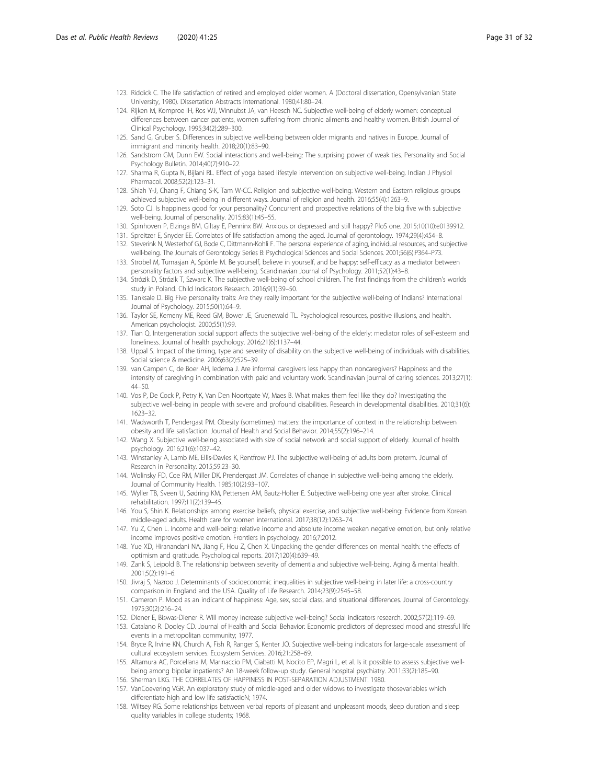- <span id="page-30-0"></span>123. Riddick C. The life satisfaction of retired and employed older women. A (Doctoral dissertation, Opensylvanian State University, 1980). Dissertation Abstracts International. 1980;41:80–24.
- 124. Rijken M, Komproe IH, Ros WJ, Winnubst JA, van Heesch NC. Subjective well-being of elderly women: conceptual differences between cancer patients, women suffering from chronic ailments and healthy women. British Journal of Clinical Psychology. 1995;34(2):289–300.
- 125. Sand G, Gruber S. Differences in subjective well-being between older migrants and natives in Europe. Journal of immigrant and minority health. 2018;20(1):83–90.
- 126. Sandstrom GM, Dunn EW. Social interactions and well-being: The surprising power of weak ties. Personality and Social Psychology Bulletin. 2014;40(7):910–22.
- 127. Sharma R, Gupta N, Bijlani RL. Effect of yoga based lifestyle intervention on subjective well-being. Indian J Physiol Pharmacol. 2008;52(2):123–31.
- 128. Shiah Y-J, Chang F, Chiang S-K, Tam W-CC. Religion and subjective well-being: Western and Eastern religious groups achieved subjective well-being in different ways. Journal of religion and health. 2016;55(4):1263–9.
- 129. Soto CJ. Is happiness good for your personality? Concurrent and prospective relations of the big five with subjective well-being. Journal of personality. 2015;83(1):45–55.
- 130. Spinhoven P, Elzinga BM, Giltay E, Penninx BW. Anxious or depressed and still happy? PloS one. 2015;10(10):e0139912.
- 131. Spreitzer E, Snyder EE. Correlates of life satisfaction among the aged. Journal of gerontology. 1974;29(4):454–8.
- 132. Steverink N, Westerhof GJ, Bode C, Dittmann-Kohli F. The personal experience of aging, individual resources, and subjective well-being. The Journals of Gerontology Series B: Psychological Sciences and Social Sciences. 2001;56(6):P364–P73.
- 133. Strobel M, Tumasjan A, Spörrle M. Be yourself, believe in yourself, and be happy: self-efficacy as a mediator between personality factors and subjective well-being. Scandinavian Journal of Psychology. 2011;52(1):43–8.
- 134. Strózik D, Strózik T, Szwarc K. The subjective well-being of school children. The first findings from the children's worlds study in Poland. Child Indicators Research. 2016;9(1):39–50.
- 135. Tanksale D. Big Five personality traits: Are they really important for the subjective well-being of Indians? International Journal of Psychology. 2015;50(1):64–9.
- 136. Taylor SE, Kemeny ME, Reed GM, Bower JE, Gruenewald TL. Psychological resources, positive illusions, and health. American psychologist. 2000;55(1):99.
- 137. Tian Q. Intergeneration social support affects the subjective well-being of the elderly: mediator roles of self-esteem and loneliness. Journal of health psychology. 2016;21(6):1137–44.
- 138. Uppal S. Impact of the timing, type and severity of disability on the subjective well-being of individuals with disabilities. Social science & medicine. 2006;63(2):525–39.
- 139. van Campen C, de Boer AH, Iedema J. Are informal caregivers less happy than noncaregivers? Happiness and the intensity of caregiving in combination with paid and voluntary work. Scandinavian journal of caring sciences. 2013;27(1): 44–50.
- 140. Vos P, De Cock P, Petry K, Van Den Noortgate W, Maes B. What makes them feel like they do? Investigating the subjective well-being in people with severe and profound disabilities. Research in developmental disabilities. 2010;31(6): 1623–32.
- 141. Wadsworth T, Pendergast PM. Obesity (sometimes) matters: the importance of context in the relationship between obesity and life satisfaction. Journal of Health and Social Behavior. 2014;55(2):196–214.
- 142. Wang X. Subjective well-being associated with size of social network and social support of elderly. Journal of health psychology. 2016;21(6):1037–42.
- 143. Winstanley A, Lamb ME, Ellis-Davies K, Rentfrow PJ. The subjective well-being of adults born preterm. Journal of Research in Personality. 2015;59:23–30.
- 144. Wolinsky FD, Coe RM, Miller DK, Prendergast JM. Correlates of change in subjective well-being among the elderly. Journal of Community Health. 1985;10(2):93–107.
- 145. Wyller TB, Sveen U, Sødring KM, Pettersen AM, Bautz-Holter E. Subjective well-being one year after stroke. Clinical rehabilitation. 1997;11(2):139–45.
- 146. You S, Shin K. Relationships among exercise beliefs, physical exercise, and subjective well-being: Evidence from Korean middle-aged adults. Health care for women international. 2017;38(12):1263–74.
- 147. Yu Z, Chen L. Income and well-being: relative income and absolute income weaken negative emotion, but only relative income improves positive emotion. Frontiers in psychology. 2016;7:2012.
- 148. Yue XD, Hiranandani NA, Jiang F, Hou Z, Chen X. Unpacking the gender differences on mental health: the effects of optimism and gratitude. Psychological reports. 2017;120(4):639–49.
- 149. Zank S, Leipold B. The relationship between severity of dementia and subjective well-being. Aging & mental health. 2001;5(2):191–6.
- 150. Jivraj S, Nazroo J. Determinants of socioeconomic inequalities in subjective well-being in later life: a cross-country comparison in England and the USA. Quality of Life Research. 2014;23(9):2545–58.
- 151. Cameron P. Mood as an indicant of happiness: Age, sex, social class, and situational differences. Journal of Gerontology. 1975;30(2):216–24.
- 152. Diener E, Biswas-Diener R. Will money increase subjective well-being? Social indicators research. 2002;57(2):119–69.
- 153. Catalano R. Dooley CD. Journal of Health and Social Behavior: Economic predictors of depressed mood and stressful life events in a metropolitan community; 1977.
- 154. Bryce R, Irvine KN, Church A, Fish R, Ranger S, Kenter JO. Subjective well-being indicators for large-scale assessment of cultural ecosystem services. Ecosystem Services. 2016;21:258–69.
- 155. Altamura AC, Porcellana M, Marinaccio PM, Ciabatti M, Nocito EP, Magri L, et al. Is it possible to assess subjective wellbeing among bipolar inpatients? An 18-week follow-up study. General hospital psychiatry. 2011;33(2):185–90.
- 156. Sherman LKG. THE CORRELATES OF HAPPINESS IN POST-SEPARATION ADJUSTMENT. 1980.
- 157. VanCoevering VGR. An exploratory study of middle-aged and older widows to investigate thosevariables which differentiate high and low life satisfactioN; 1974.
- 158. Wiltsey RG. Some relationships between verbal reports of pleasant and unpleasant moods, sleep duration and sleep quality variables in college students; 1968.